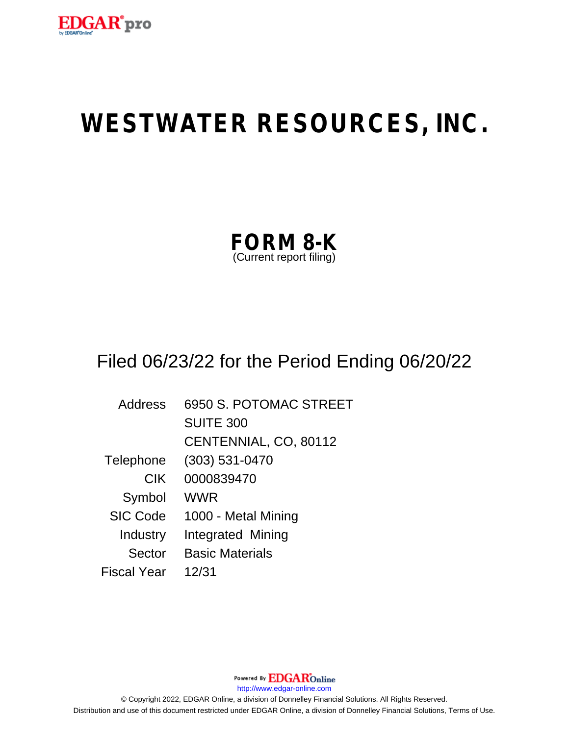

# **WESTWATER RESOURCES, INC.**

| <b>FORM 8-K</b>         |  |
|-------------------------|--|
| (Current report filing) |  |

## Filed 06/23/22 for the Period Ending 06/20/22

| Address         | 6950 S. POTOMAC STREET |
|-----------------|------------------------|
|                 | <b>SUITE 300</b>       |
|                 | CENTENNIAL, CO, 80112  |
| Telephone       | $(303) 531 - 0470$     |
| <b>CIK</b>      | 0000839470             |
| Symbol          | WWR                    |
| <b>SIC Code</b> | 1000 - Metal Mining    |
| Industry        | Integrated Mining      |
| Sector          | <b>Basic Materials</b> |
| Fiscal Year     | 12/31                  |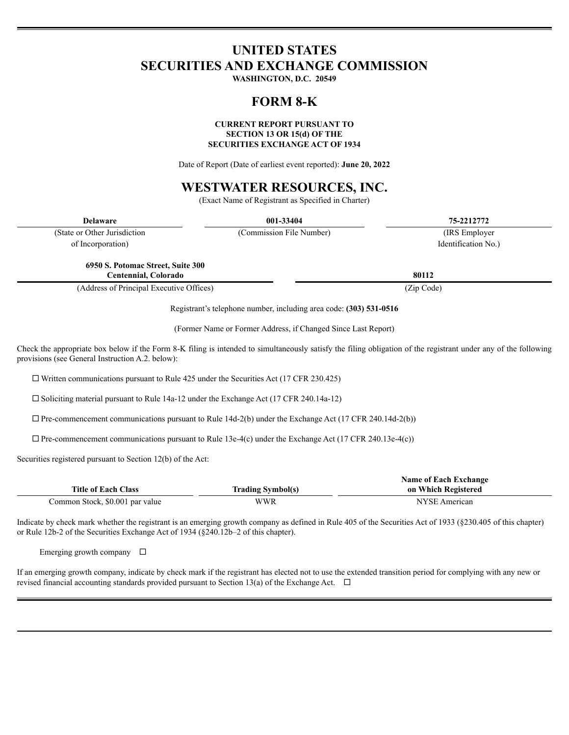### **UNITED STATES SECURITIES AND EXCHANGE COMMISSION**

WASHINGTON, D.C. 20549

#### **FORM 8-K**

#### **CURRENT REPORT PURSUANT TO SECTION 13 OR 15(d) OF THE SECURITIES EXCHANGE ACT OF 1934**

Date of Report (Date of earliest event reported): June 20, 2022

### **WESTWATER RESOURCES, INC.**

(Exact Name of Registrant as Specified in Charter)

| <b>Delaware</b>                                                                                                                                                                                                     | 001-33404                                                          | 75-2212772          |  |
|---------------------------------------------------------------------------------------------------------------------------------------------------------------------------------------------------------------------|--------------------------------------------------------------------|---------------------|--|
| (State or Other Jurisdiction)                                                                                                                                                                                       | (Commission File Number)                                           | (IRS Employer)      |  |
| of Incorporation)                                                                                                                                                                                                   |                                                                    | Identification No.) |  |
| 6950 S. Potomac Street, Suite 300<br>Centennial, Colorado                                                                                                                                                           |                                                                    | 80112               |  |
| (Address of Principal Executive Offices)                                                                                                                                                                            |                                                                    | (Zip Code)          |  |
|                                                                                                                                                                                                                     | Registrant's telephone number, including area code: (303) 531-0516 |                     |  |
|                                                                                                                                                                                                                     | (Former Name or Former Address, if Changed Since Last Report)      |                     |  |
| Check the appropriate box below if the Form 8-K filing is intended to simultaneously satisfy the filing obligation of the registrant under any of the following<br>provisions (see General Instruction A.2. below): |                                                                    |                     |  |

 $\Box$  Written communications pursuant to Rule 425 under the Securities Act (17 CFR 230.425)

 $\square$  Soliciting material pursuant to Rule 14a-12 under the Exchange Act (17 CFR 240.14a-12)

 $\Box$  Pre-commencement communications pursuant to Rule 14d-2(b) under the Exchange Act (17 CFR 240.14d-2(b))

 $\Box$  Pre-commencement communications pursuant to Rule 13e-4(c) under the Exchange Act (17 CFR 240.13e-4(c))

Securities registered pursuant to Section 12(b) of the Act:

|                                 |                          | Name of Each Exchange |
|---------------------------------|--------------------------|-----------------------|
| <b>Title of Each Class</b>      | <b>Trading Symbol(s)</b> | on Which Registered   |
| Common Stock. \$0.001 par value | WWR                      | NYSE American         |

Indicate by check mark whether the registrant is an emerging growth company as defined in Rule 405 of the Securities Act of 1933 (§230.405 of this chapter) or Rule 12b-2 of the Securities Exchange Act of 1934 (§240.12b-2 of this chapter).

Emerging growth company  $\Box$ 

If an emerging growth company, indicate by check mark if the registrant has elected not to use the extended transition period for complying with any new or revised financial accounting standards provided pursuant to Section 13(a) of the Exchange Act.  $\Box$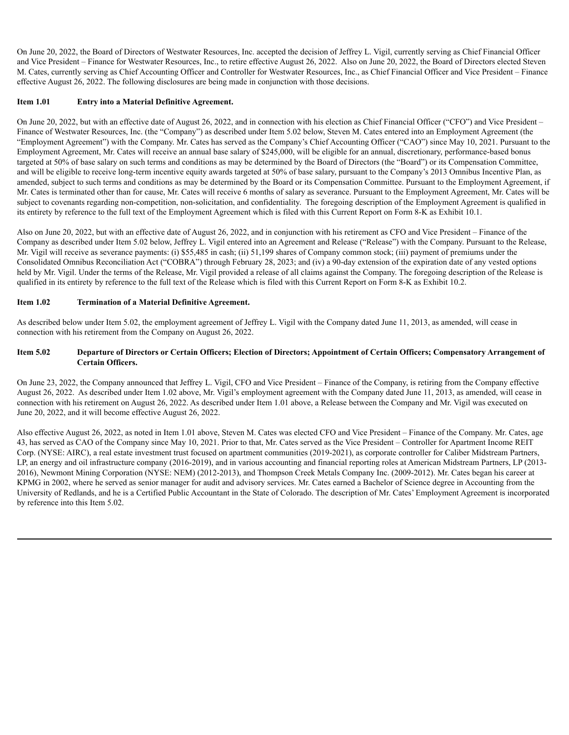On June 20, 2022, the Board of Directors of Westwater Resources, Inc. accepted the decision of Jeffrey L. Vigil, currently serving as Chief Financial Officer and Vice President – Finance for Westwater Resources, Inc., to retire effective August 26, 2022. Also on June 20, 2022, the Board of Directors elected Steven M. Cates, currently serving as Chief Accounting Officer and Controller for Westwater Resources, Inc., as Chief Financial Officer and Vice President – Finance effective August 26, 2022. The following disclosures are being made in conjunction with those decisions.

#### **Item 1.01 Entry into a Material Definitive Agreement.**

On June 20, 2022, but with an effective date of August 26, 2022, and in connection with his election as Chief Financial Officer ("CFO") and Vice President – Finance of Westwater Resources, Inc. (the "Company") as described under Item 5.02 below, Steven M. Cates entered into an Employment Agreement (the "Employment Agreement") with the Company. Mr. Cates has served as the Company's Chief Accounting Officer ("CAO") since May 10, 2021. Pursuant to the Employment Agreement, Mr. Cates will receive an annual base salary of \$245,000, will be eligible for an annual, discretionary, performance-based bonus targeted at 50% of base salary on such terms and conditions as may be determined by the Board of Directors (the "Board") or its Compensation Committee, and will be eligible to receive long-term incentive equity awards targeted at 50% of base salary, pursuant to the Company's 2013 Omnibus Incentive Plan, as amended, subject to such terms and conditions as may be determined by the Board or its Compensation Committee. Pursuant to the Employment Agreement, if Mr. Cates is terminated other than for cause, Mr. Cates will receive 6 months of salary as severance. Pursuant to the Employment Agreement, Mr. Cates will be subject to covenants regarding non-competition, non-solicitation, and confidentiality. The foregoing description of the Employment Agreement is qualified in its entirety by reference to the full text of the Employment Agreement which is filed with this Current Report on Form 8-K as Exhibit 10.1.

Also on June 20, 2022, but with an effective date of August 26, 2022, and in conjunction with his retirement as CFO and Vice President – Finance of the Company as described under Item 5.02 below, Jeffrey L. Vigil entered into an Agreement and Release ("Release") with the Company. Pursuant to the Release, Mr. Vigil will receive as severance payments: (i) \$55,485 in cash; (ii) 51,199 shares of Company common stock; (iii) payment of premiums under the Consolidated Omnibus Reconciliation Act ("COBRA") through February 28, 2023; and (iv) a 90-day extension of the expiration date of any vested options held by Mr. Vigil. Under the terms of the Release, Mr. Vigil provided a release of all claims against the Company. The foregoing description of the Release is qualified in its entirety by reference to the full text of the Release which is filed with this Current Report on Form 8-K as Exhibit 10.2.

#### **Item 1.02 Termination of a Material Definitive Agreement.**

As described below under Item 5.02, the employment agreement of Jeffrey L. Vigil with the Company dated June 11, 2013, as amended, will cease in connection with his retirement from the Company on August 26, 2022.

#### Item 5.02 Departure of Directors or Certain Officers; Election of Directors; Appointment of Certain Officers; Compensatory Arrangement of **Certain Officers.**

On June 23, 2022, the Company announced that Jeffrey L. Vigil, CFO and Vice President – Finance of the Company, is retiring from the Company effective August 26, 2022. As described under Item 1.02 above, Mr. Vigil's employment agreement with the Company dated June 11, 2013, as amended, will cease in connection with his retirement on August 26, 2022. As described under Item 1.01 above, a Release between the Company and Mr. Vigil was executed on June 20, 2022, and it will become effective August 26, 2022.

Also effective August 26, 2022, as noted in Item 1.01 above, Steven M. Cates was elected CFO and Vice President – Finance of the Company. Mr. Cates, age 43, has served as CAO of the Company since May 10, 2021. Prior to that, Mr. Cates served as the Vice President – Controller for Apartment Income REIT Corp. (NYSE: AIRC), a real estate investment trust focused on apartment communities (2019-2021), as corporate controller for Caliber Midstream Partners, LP, an energy and oil infrastructure company (2016-2019), and in various accounting and financial reporting roles at American Midstream Partners, LP (2013- 2016), Newmont Mining Corporation (NYSE: NEM) (2012-2013), and Thompson Creek Metals Company Inc. (2009-2012). Mr. Cates began his career at KPMG in 2002, where he served as senior manager for audit and advisory services. Mr. Cates earned a Bachelor of Science degree in Accounting from the University of Redlands, and he is a Certified Public Accountant in the State of Colorado. The description of Mr. Cates' Employment Agreement is incorporated by reference into this Item 5.02.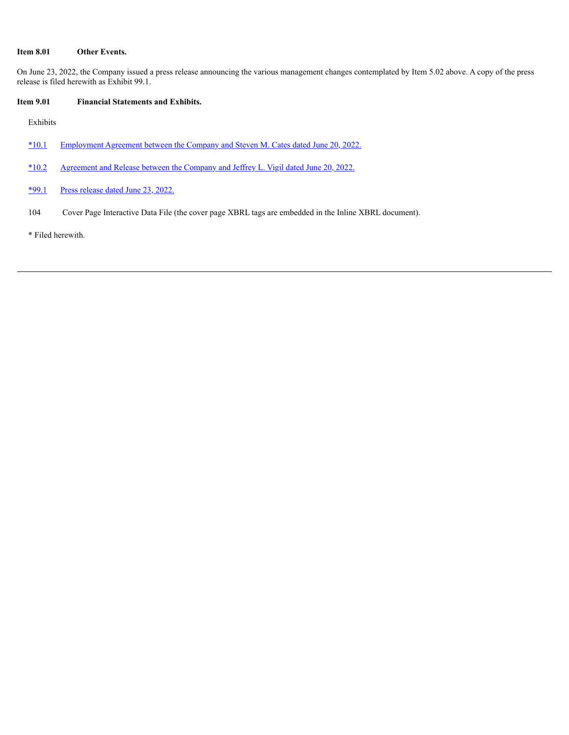#### **Item 8.01 Other Events.**

On June 23, 2022, the Company issued a press release announcing the various management changes contemplated by Item 5.02 above. A copy of the press release is filed herewith as Exhibit 99.1.

#### **Item 9.01 Financial Statements and Exhibits.**

Exhibits

- [\\*10.1](#page-5-0) [Employment](#page-5-0) Agreement between the Company and Steven M. Cates dated June 20, 2022.
- [\\*10.2](#page-21-0) [Agreement](#page-21-0) and Release between the Company and Jeffrey L. Vigil dated June 20, 2022.
- [\\*99.1](#page-30-0) Press [release](#page-30-0) dated June 23, 2022.
- 104 Cover Page Interactive Data File (the cover page XBRL tags are embedded in the Inline XBRL document).

\* Filed herewith.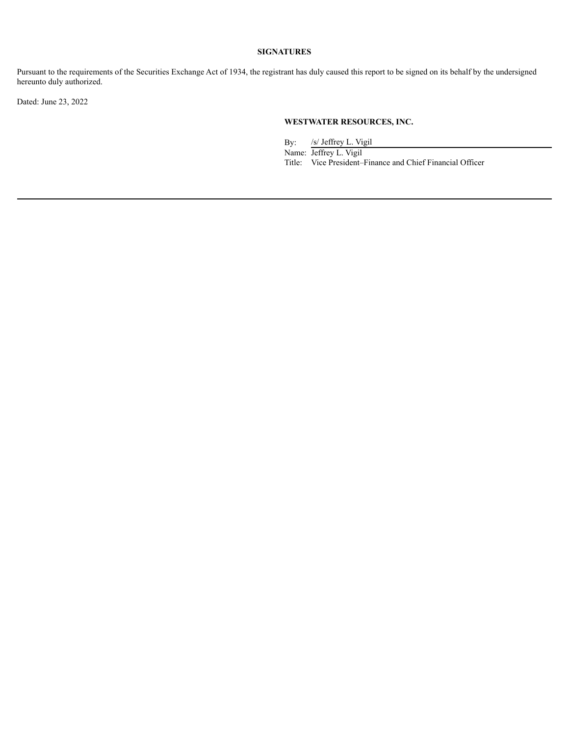#### **SIGNATURES**

Pursuant to the requirements of the Securities Exchange Act of 1934, the registrant has duly caused this report to be signed on its behalf by the undersigned hereunto duly authorized.

Dated: June 23, 2022

#### **WESTWATER RESOURCES, INC.**

By: /s/ Jeffrey L. Vigil

Name: Jeffrey L. Vigil Title: Vice President–Finance and Chief Financial Officer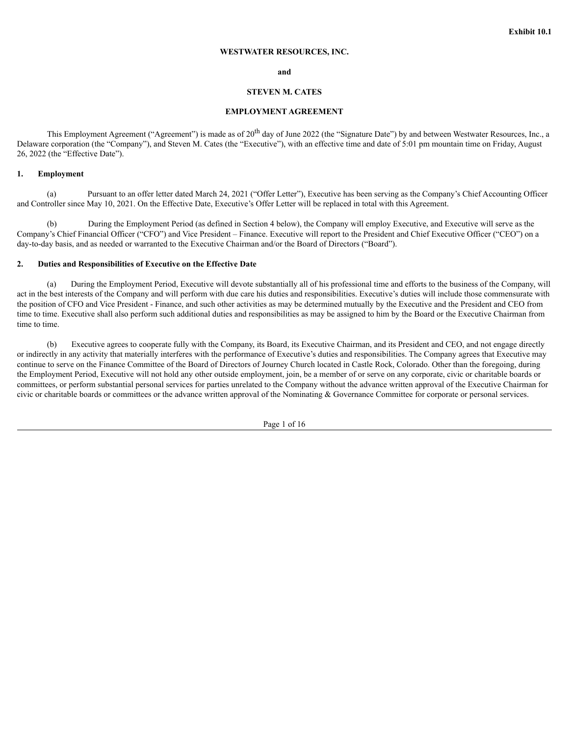#### **WESTWATER RESOURCES, INC.**

#### **and**

#### **STEVEN M. CATES**

#### **EMPLOYMENT AGREEMENT**

<span id="page-5-0"></span>This Employment Agreement ("Agreement") is made as of 20<sup>th</sup> day of June 2022 (the "Signature Date") by and between Westwater Resources, Inc., a Delaware corporation (the "Company"), and Steven M. Cates (the "Executive"), with an effective time and date of 5:01 pm mountain time on Friday, August 26, 2022 (the "Effective Date").

#### **1. Employment**

(a) Pursuant to an offer letter dated March 24, 2021 ("Offer Letter"), Executive has been serving as the Company's Chief Accounting Officer and Controller since May 10, 2021. On the Effective Date, Executive's Offer Letter will be replaced in total with this Agreement.

(b) During the Employment Period (as defined in Section 4 below), the Company will employ Executive, and Executive will serve as the Company's Chief Financial Officer ("CFO") and Vice President – Finance. Executive will report to the President and Chief Executive Officer ("CEO") on a day-to-day basis, and as needed or warranted to the Executive Chairman and/or the Board of Directors ("Board").

#### **2. Duties and Responsibilities of Executive on the Effective Date**

(a) During the Employment Period, Executive will devote substantially all of his professional time and efforts to the business of the Company, will act in the best interests of the Company and will perform with due care his duties and responsibilities. Executive's duties will include those commensurate with the position of CFO and Vice President - Finance, and such other activities as may be determined mutually by the Executive and the President and CEO from time to time. Executive shall also perform such additional duties and responsibilities as may be assigned to him by the Board or the Executive Chairman from time to time.

(b) Executive agrees to cooperate fully with the Company, its Board, its Executive Chairman, and its President and CEO, and not engage directly or indirectly in any activity that materially interferes with the performance of Executive's duties and responsibilities. The Company agrees that Executive may continue to serve on the Finance Committee of the Board of Directors of Journey Church located in Castle Rock, Colorado. Other than the foregoing, during the Employment Period, Executive will not hold any other outside employment, join, be a member of or serve on any corporate, civic or charitable boards or committees, or perform substantial personal services for parties unrelated to the Company without the advance written approval of the Executive Chairman for civic or charitable boards or committees or the advance written approval of the Nominating & Governance Committee for corporate or personal services.

Page 1 of 16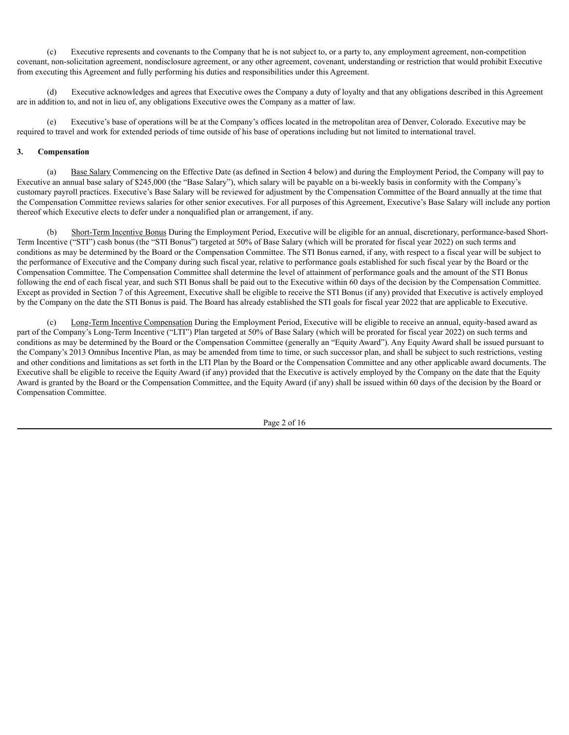(c) Executive represents and covenants to the Company that he is not subject to, or a party to, any employment agreement, non-competition covenant, non-solicitation agreement, nondisclosure agreement, or any other agreement, covenant, understanding or restriction that would prohibit Executive from executing this Agreement and fully performing his duties and responsibilities under this Agreement.

(d) Executive acknowledges and agrees that Executive owes the Company a duty of loyalty and that any obligations described in this Agreement are in addition to, and not in lieu of, any obligations Executive owes the Company as a matter of law.

(e) Executive's base of operations will be at the Company's offices located in the metropolitan area of Denver, Colorado. Executive may be required to travel and work for extended periods of time outside of his base of operations including but not limited to international travel.

#### **3. Compensation**

(a) Base Salary Commencing on the Effective Date (as defined in Section 4 below) and during the Employment Period, the Company will pay to Executive an annual base salary of \$245,000 (the "Base Salary"), which salary will be payable on a bi-weekly basis in conformity with the Company's customary payroll practices. Executive's Base Salary will be reviewed for adjustment by the Compensation Committee of the Board annually at the time that the Compensation Committee reviews salaries for other senior executives. For all purposes of this Agreement, Executive's Base Salary will include any portion thereof which Executive elects to defer under a nonqualified plan or arrangement, if any.

(b) Short-Term Incentive Bonus During the Employment Period, Executive will be eligible for an annual, discretionary, performance-based Short-Term Incentive ("STI") cash bonus (the "STI Bonus") targeted at 50% of Base Salary (which will be prorated for fiscal year 2022) on such terms and conditions as may be determined by the Board or the Compensation Committee. The STI Bonus earned, if any, with respect to a fiscal year will be subject to the performance of Executive and the Company during such fiscal year, relative to performance goals established for such fiscal year by the Board or the Compensation Committee. The Compensation Committee shall determine the level of attainment of performance goals and the amount of the STI Bonus following the end of each fiscal year, and such STI Bonus shall be paid out to the Executive within 60 days of the decision by the Compensation Committee. Except as provided in Section 7 of this Agreement, Executive shall be eligible to receive the STI Bonus (if any) provided that Executive is actively employed by the Company on the date the STI Bonus is paid. The Board has already established the STI goals for fiscal year 2022 that are applicable to Executive.

(c) Long-Term Incentive Compensation During the Employment Period, Executive will be eligible to receive an annual, equity-based award as part of the Company's Long-Term Incentive ("LTI") Plan targeted at 50% of Base Salary (which will be prorated for fiscal year 2022) on such terms and conditions as may be determined by the Board or the Compensation Committee (generally an "Equity Award"). Any Equity Award shall be issued pursuant to the Company's 2013 Omnibus Incentive Plan, as may be amended from time to time, or such successor plan, and shall be subject to such restrictions, vesting and other conditions and limitations as set forth in the LTI Plan by the Board or the Compensation Committee and any other applicable award documents. The Executive shall be eligible to receive the Equity Award (if any) provided that the Executive is actively employed by the Company on the date that the Equity Award is granted by the Board or the Compensation Committee, and the Equity Award (if any) shall be issued within 60 days of the decision by the Board or Compensation Committee.

Page 2 of 16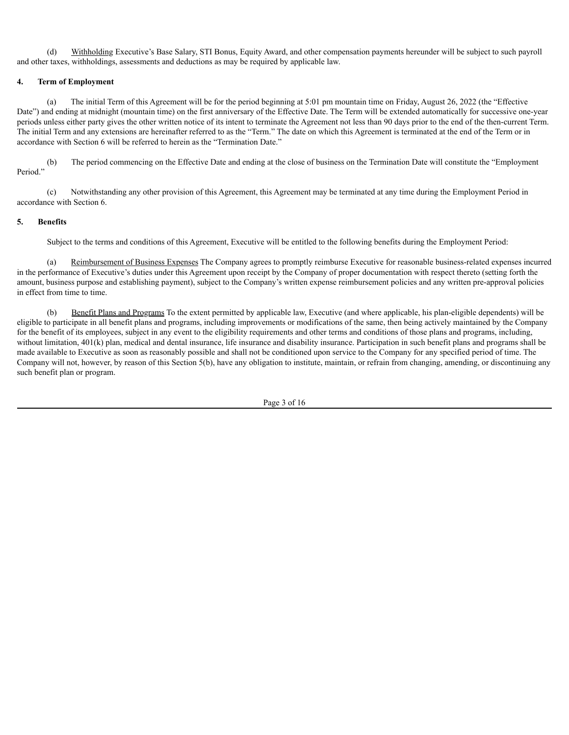(d) Withholding Executive's Base Salary, STI Bonus, Equity Award, and other compensation payments hereunder will be subject to such payroll and other taxes, withholdings, assessments and deductions as may be required by applicable law.

#### **4. Term of Employment**

(a) The initial Term of this Agreement will be for the period beginning at 5:01 pm mountain time on Friday, August 26, 2022 (the "Effective Date") and ending at midnight (mountain time) on the first anniversary of the Effective Date. The Term will be extended automatically for successive one-year periods unless either party gives the other written notice of its intent to terminate the Agreement not less than 90 days prior to the end of the then-current Term. The initial Term and any extensions are hereinafter referred to as the "Term." The date on which this Agreement is terminated at the end of the Term or in accordance with Section 6 will be referred to herein as the "Termination Date."

(b) The period commencing on the Effective Date and ending at the close of business on the Termination Date will constitute the "Employment Period."

(c) Notwithstanding any other provision of this Agreement, this Agreement may be terminated at any time during the Employment Period in accordance with Section 6.

#### **5. Benefits**

Subject to the terms and conditions of this Agreement, Executive will be entitled to the following benefits during the Employment Period:

(a) Reimbursement of Business Expenses The Company agrees to promptly reimburse Executive for reasonable business-related expenses incurred in the performance of Executive's duties under this Agreement upon receipt by the Company of proper documentation with respect thereto (setting forth the amount, business purpose and establishing payment), subject to the Company's written expense reimbursement policies and any written pre-approval policies in effect from time to time.

(b) Benefit Plans and Programs To the extent permitted by applicable law, Executive (and where applicable, his plan-eligible dependents) will be eligible to participate in all benefit plans and programs, including improvements or modifications of the same, then being actively maintained by the Company for the benefit of its employees, subject in any event to the eligibility requirements and other terms and conditions of those plans and programs, including, without limitation, 401(k) plan, medical and dental insurance, life insurance and disability insurance. Participation in such benefit plans and programs shall be made available to Executive as soon as reasonably possible and shall not be conditioned upon service to the Company for any specified period of time. The Company will not, however, by reason of this Section 5(b), have any obligation to institute, maintain, or refrain from changing, amending, or discontinuing any such benefit plan or program.

Page 3 of 16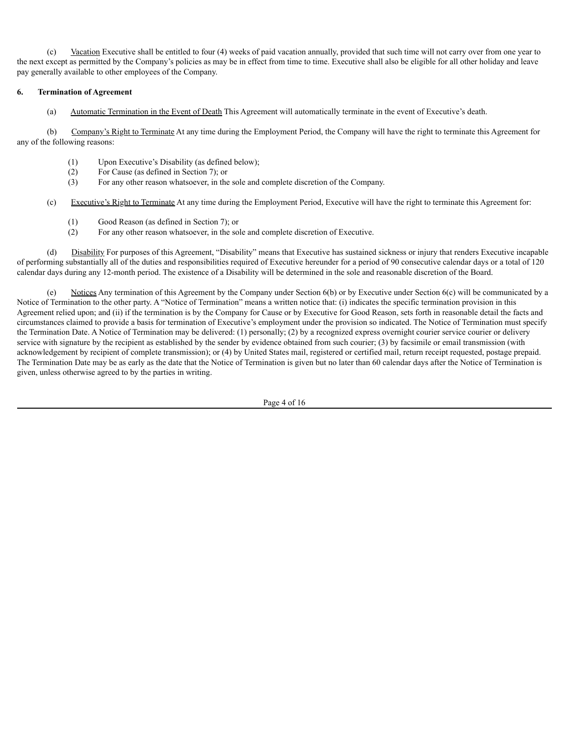(c) Vacation Executive shall be entitled to four (4) weeks of paid vacation annually, provided that such time will not carry over from one year to the next except as permitted by the Company's policies as may be in effect from time to time. Executive shall also be eligible for all other holiday and leave pay generally available to other employees of the Company.

#### **6. Termination of Agreement**

(a) Automatic Termination in the Event of Death This Agreement will automatically terminate in the event of Executive's death.

(b) Company's Right to Terminate At any time during the Employment Period, the Company will have the right to terminate this Agreement for any of the following reasons:

- (1) Upon Executive's Disability (as defined below);
- (2) For Cause (as defined in Section 7); or
- (3) For any other reason whatsoever, in the sole and complete discretion of the Company.
- (c) Executive's Right to Terminate At any time during the Employment Period, Executive will have the right to terminate this Agreement for:
	- (1) Good Reason (as defined in Section 7); or
	- (2) For any other reason whatsoever, in the sole and complete discretion of Executive.

(d) Disability For purposes of this Agreement, "Disability" means that Executive has sustained sickness or injury that renders Executive incapable of performing substantially all of the duties and responsibilities required of Executive hereunder for a period of 90 consecutive calendar days or a total of 120 calendar days during any 12-month period. The existence of a Disability will be determined in the sole and reasonable discretion of the Board.

Notices Any termination of this Agreement by the Company under Section 6(b) or by Executive under Section 6(c) will be communicated by a Notice of Termination to the other party. A "Notice of Termination" means a written notice that: (i) indicates the specific termination provision in this Agreement relied upon; and (ii) if the termination is by the Company for Cause or by Executive for Good Reason, sets forth in reasonable detail the facts and circumstances claimed to provide a basis for termination of Executive's employment under the provision so indicated. The Notice of Termination must specify the Termination Date. A Notice of Termination may be delivered: (1) personally; (2) by a recognized express overnight courier service courier or delivery service with signature by the recipient as established by the sender by evidence obtained from such courier; (3) by facsimile or email transmission (with acknowledgement by recipient of complete transmission); or (4) by United States mail, registered or certified mail, return receipt requested, postage prepaid. The Termination Date may be as early as the date that the Notice of Termination is given but no later than 60 calendar days after the Notice of Termination is given, unless otherwise agreed to by the parties in writing.

Page 4 of 16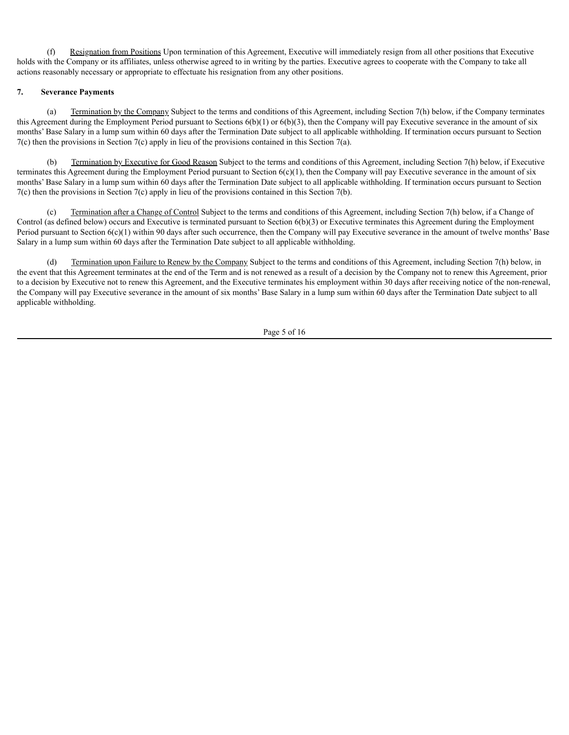(f) Resignation from Positions Upon termination of this Agreement, Executive will immediately resign from all other positions that Executive holds with the Company or its affiliates, unless otherwise agreed to in writing by the parties. Executive agrees to cooperate with the Company to take all actions reasonably necessary or appropriate to effectuate his resignation from any other positions.

#### **7. Severance Payments**

(a) Termination by the Company Subject to the terms and conditions of this Agreement, including Section 7(h) below, if the Company terminates this Agreement during the Employment Period pursuant to Sections  $6(b)(1)$  or  $6(b)(3)$ , then the Company will pay Executive severance in the amount of six months' Base Salary in a lump sum within 60 days after the Termination Date subject to all applicable withholding. If termination occurs pursuant to Section  $7(c)$  then the provisions in Section  $7(c)$  apply in lieu of the provisions contained in this Section  $7(a)$ .

(b) Termination by Executive for Good Reason Subject to the terms and conditions of this Agreement, including Section 7(h) below, if Executive terminates this Agreement during the Employment Period pursuant to Section  $6(c)(1)$ , then the Company will pay Executive severance in the amount of six months' Base Salary in a lump sum within 60 days after the Termination Date subject to all applicable withholding. If termination occurs pursuant to Section  $7(c)$  then the provisions in Section  $7(c)$  apply in lieu of the provisions contained in this Section  $7(b)$ .

Termination after a Change of Control Subject to the terms and conditions of this Agreement, including Section 7(h) below, if a Change of Control (as defined below) occurs and Executive is terminated pursuant to Section 6(b)(3) or Executive terminates this Agreement during the Employment Period pursuant to Section  $6(c)(1)$  within 90 days after such occurrence, then the Company will pay Executive severance in the amount of twelve months' Base Salary in a lump sum within 60 days after the Termination Date subject to all applicable withholding.

(d) Termination upon Failure to Renew by the Company Subject to the terms and conditions of this Agreement, including Section 7(h) below, in the event that this Agreement terminates at the end of the Term and is not renewed as a result of a decision by the Company not to renew this Agreement, prior to a decision by Executive not to renew this Agreement, and the Executive terminates his employment within 30 days after receiving notice of the non-renewal, the Company will pay Executive severance in the amount of six months' Base Salary in a lump sum within 60 days after the Termination Date subject to all applicable withholding.

Page 5 of 16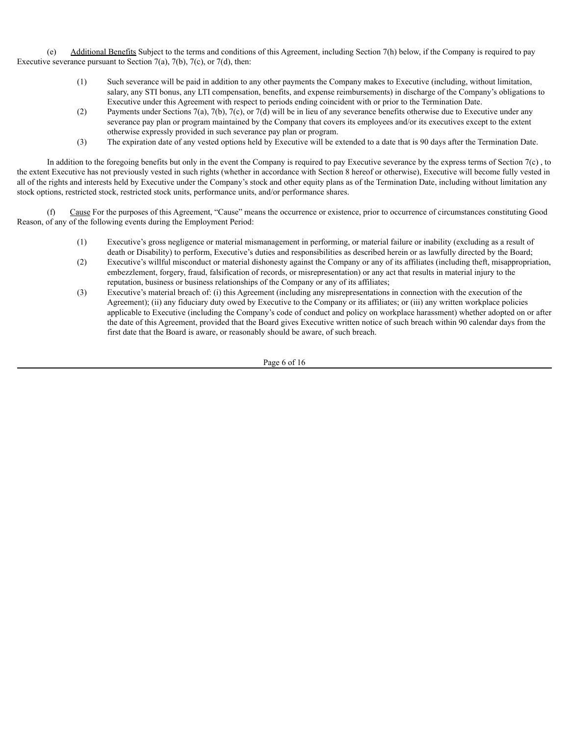(e) Additional Benefits Subject to the terms and conditions of this Agreement, including Section 7(h) below, if the Company is required to pay Executive severance pursuant to Section 7(a), 7(b), 7(c), or 7(d), then:

- (1) Such severance will be paid in addition to any other payments the Company makes to Executive (including, without limitation, salary, any STI bonus, any LTI compensation, benefits, and expense reimbursements) in discharge of the Company's obligations to Executive under this Agreement with respect to periods ending coincident with or prior to the Termination Date.
- (2) Payments under Sections 7(a), 7(b), 7(c), or 7(d) will be in lieu of any severance benefits otherwise due to Executive under any severance pay plan or program maintained by the Company that covers its employees and/or its executives except to the extent otherwise expressly provided in such severance pay plan or program.
- (3) The expiration date of any vested options held by Executive will be extended to a date that is 90 days after the Termination Date.

In addition to the foregoing benefits but only in the event the Company is required to pay Executive severance by the express terms of Section 7(c) , to the extent Executive has not previously vested in such rights (whether in accordance with Section 8 hereof or otherwise), Executive will become fully vested in all of the rights and interests held by Executive under the Company's stock and other equity plans as of the Termination Date, including without limitation any stock options, restricted stock, restricted stock units, performance units, and/or performance shares.

Cause For the purposes of this Agreement, "Cause" means the occurrence or existence, prior to occurrence of circumstances constituting Good Reason, of any of the following events during the Employment Period:

- (1) Executive's gross negligence or material mismanagement in performing, or material failure or inability (excluding as a result of death or Disability) to perform, Executive's duties and responsibilities as described herein or as lawfully directed by the Board;
- (2) Executive's willful misconduct or material dishonesty against the Company or any of its affiliates (including theft, misappropriation, embezzlement, forgery, fraud, falsification of records, or misrepresentation) or any act that results in material injury to the reputation, business or business relationships of the Company or any of its affiliates;
- (3) Executive's material breach of: (i) this Agreement (including any misrepresentations in connection with the execution of the Agreement); (ii) any fiduciary duty owed by Executive to the Company or its affiliates; or (iii) any written workplace policies applicable to Executive (including the Company's code of conduct and policy on workplace harassment) whether adopted on or after the date of this Agreement, provided that the Board gives Executive written notice of such breach within 90 calendar days from the first date that the Board is aware, or reasonably should be aware, of such breach.

Page 6 of 16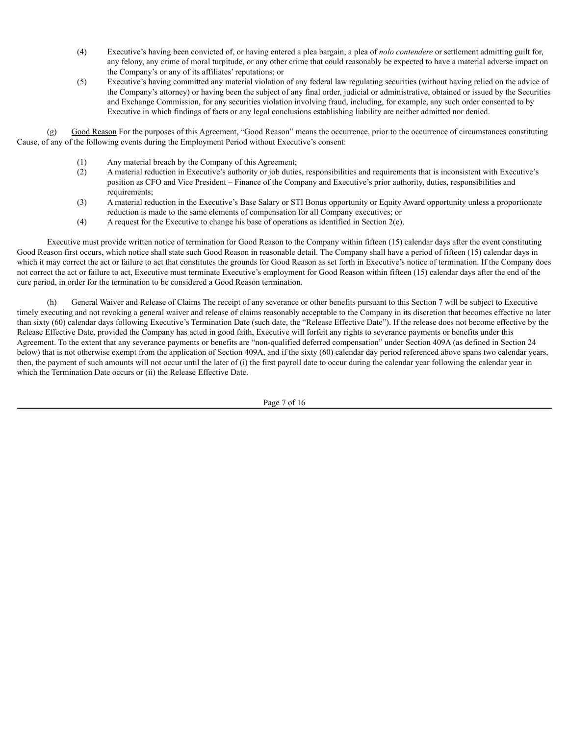- (4) Executive's having been convicted of, or having entered a plea bargain, a plea of *nolo contendere* or settlement admitting guilt for, any felony, any crime of moral turpitude, or any other crime that could reasonably be expected to have a material adverse impact on the Company's or any of its affiliates' reputations; or
- (5) Executive's having committed any material violation of any federal law regulating securities (without having relied on the advice of the Company's attorney) or having been the subject of any final order, judicial or administrative, obtained or issued by the Securities and Exchange Commission, for any securities violation involving fraud, including, for example, any such order consented to by Executive in which findings of facts or any legal conclusions establishing liability are neither admitted nor denied.

(g) Good Reason For the purposes of this Agreement, "Good Reason" means the occurrence, prior to the occurrence of circumstances constituting Cause, of any of the following events during the Employment Period without Executive's consent:

- (1) Any material breach by the Company of this Agreement;
- (2) A material reduction in Executive's authority or job duties, responsibilities and requirements that is inconsistent with Executive's position as CFO and Vice President – Finance of the Company and Executive's prior authority, duties, responsibilities and requirements:
- (3) A material reduction in the Executive's Base Salary or STI Bonus opportunity or Equity Award opportunity unless a proportionate reduction is made to the same elements of compensation for all Company executives; or
- (4) A request for the Executive to change his base of operations as identified in Section 2(e).

Executive must provide written notice of termination for Good Reason to the Company within fifteen (15) calendar days after the event constituting Good Reason first occurs, which notice shall state such Good Reason in reasonable detail. The Company shall have a period of fifteen (15) calendar days in which it may correct the act or failure to act that constitutes the grounds for Good Reason as set forth in Executive's notice of termination. If the Company does not correct the act or failure to act, Executive must terminate Executive's employment for Good Reason within fifteen (15) calendar days after the end of the cure period, in order for the termination to be considered a Good Reason termination.

(h) General Waiver and Release of Claims The receipt of any severance or other benefits pursuant to this Section 7 will be subject to Executive timely executing and not revoking a general waiver and release of claims reasonably acceptable to the Company in its discretion that becomes effective no later than sixty (60) calendar days following Executive's Termination Date (such date, the "Release Effective Date"). If the release does not become effective by the Release Effective Date, provided the Company has acted in good faith, Executive will forfeit any rights to severance payments or benefits under this Agreement. To the extent that any severance payments or benefits are "non-qualified deferred compensation" under Section 409A (as defined in Section 24 below) that is not otherwise exempt from the application of Section 409A, and if the sixty (60) calendar day period referenced above spans two calendar years, then, the payment of such amounts will not occur until the later of (i) the first payroll date to occur during the calendar year following the calendar year in which the Termination Date occurs or (ii) the Release Effective Date.

Page 7 of 16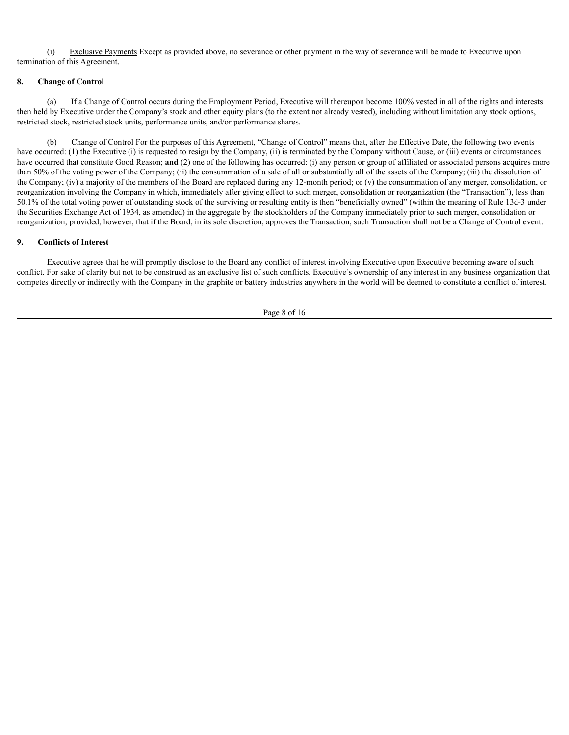(i) Exclusive Payments Except as provided above, no severance or other payment in the way of severance will be made to Executive upon termination of this Agreement.

#### **8. Change of Control**

(a) If a Change of Control occurs during the Employment Period, Executive will thereupon become 100% vested in all of the rights and interests then held by Executive under the Company's stock and other equity plans (to the extent not already vested), including without limitation any stock options, restricted stock, restricted stock units, performance units, and/or performance shares.

(b) Change of Control For the purposes of this Agreement, "Change of Control" means that, after the Effective Date, the following two events have occurred: (1) the Executive (i) is requested to resign by the Company, (ii) is terminated by the Company without Cause, or (iii) events or circumstances have occurred that constitute Good Reason; **and** (2) one of the following has occurred: (i) any person or group of affiliated or associated persons acquires more than 50% of the voting power of the Company; (ii) the consummation of a sale of all or substantially all of the assets of the Company; (iii) the dissolution of the Company; (iv) a majority of the members of the Board are replaced during any 12-month period; or (v) the consummation of any merger, consolidation, or reorganization involving the Company in which, immediately after giving effect to such merger, consolidation or reorganization (the "Transaction"), less than 50.1% of the total voting power of outstanding stock of the surviving or resulting entity is then "beneficially owned" (within the meaning of Rule 13d-3 under the Securities Exchange Act of 1934, as amended) in the aggregate by the stockholders of the Company immediately prior to such merger, consolidation or reorganization; provided, however, that if the Board, in its sole discretion, approves the Transaction, such Transaction shall not be a Change of Control event.

#### **9. Conflicts of Interest**

Executive agrees that he will promptly disclose to the Board any conflict of interest involving Executive upon Executive becoming aware of such conflict. For sake of clarity but not to be construed as an exclusive list of such conflicts, Executive's ownership of any interest in any business organization that competes directly or indirectly with the Company in the graphite or battery industries anywhere in the world will be deemed to constitute a conflict of interest.

Page 8 of 16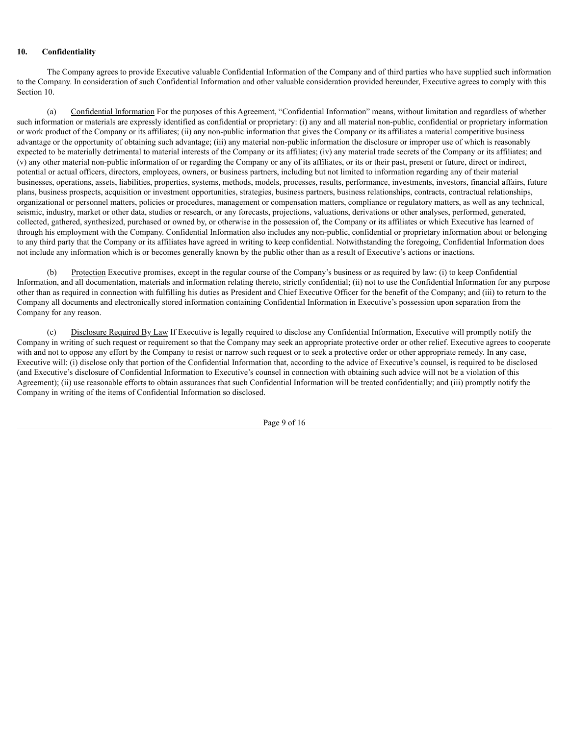#### **10. Confidentiality**

The Company agrees to provide Executive valuable Confidential Information of the Company and of third parties who have supplied such information to the Company. In consideration of such Confidential Information and other valuable consideration provided hereunder, Executive agrees to comply with this Section 10.

(a) Confidential Information For the purposes of this Agreement, "Confidential Information" means, without limitation and regardless of whether such information or materials are expressly identified as confidential or proprietary: (i) any and all material non-public, confidential or proprietary information or work product of the Company or its affiliates; (ii) any non-public information that gives the Company or its affiliates a material competitive business advantage or the opportunity of obtaining such advantage; (iii) any material non-public information the disclosure or improper use of which is reasonably expected to be materially detrimental to material interests of the Company or its affiliates; (iv) any material trade secrets of the Company or its affiliates; and (v) any other material non-public information of or regarding the Company or any of its affiliates, or its or their past, present or future, direct or indirect, potential or actual officers, directors, employees, owners, or business partners, including but not limited to information regarding any of their material businesses, operations, assets, liabilities, properties, systems, methods, models, processes, results, performance, investments, investors, financial affairs, future plans, business prospects, acquisition or investment opportunities, strategies, business partners, business relationships, contracts, contractual relationships, organizational or personnel matters, policies or procedures, management or compensation matters, compliance or regulatory matters, as well as any technical, seismic, industry, market or other data, studies or research, or any forecasts, projections, valuations, derivations or other analyses, performed, generated, collected, gathered, synthesized, purchased or owned by, or otherwise in the possession of, the Company or its affiliates or which Executive has learned of through his employment with the Company. Confidential Information also includes any non-public, confidential or proprietary information about or belonging to any third party that the Company or its affiliates have agreed in writing to keep confidential. Notwithstanding the foregoing, Confidential Information does not include any information which is or becomes generally known by the public other than as a result of Executive's actions or inactions.

Protection Executive promises, except in the regular course of the Company's business or as required by law: (i) to keep Confidential Information, and all documentation, materials and information relating thereto, strictly confidential; (ii) not to use the Confidential Information for any purpose other than as required in connection with fulfilling his duties as President and Chief Executive Officer for the benefit of the Company; and (iii) to return to the Company all documents and electronically stored information containing Confidential Information in Executive's possession upon separation from the Company for any reason.

(c) Disclosure Required By Law If Executive is legally required to disclose any Confidential Information, Executive will promptly notify the Company in writing of such request or requirement so that the Company may seek an appropriate protective order or other relief. Executive agrees to cooperate with and not to oppose any effort by the Company to resist or narrow such request or to seek a protective order or other appropriate remedy. In any case, Executive will: (i) disclose only that portion of the Confidential Information that, according to the advice of Executive's counsel, is required to be disclosed (and Executive's disclosure of Confidential Information to Executive's counsel in connection with obtaining such advice will not be a violation of this Agreement); (ii) use reasonable efforts to obtain assurances that such Confidential Information will be treated confidentially; and (iii) promptly notify the Company in writing of the items of Confidential Information so disclosed.

Page 9 of 16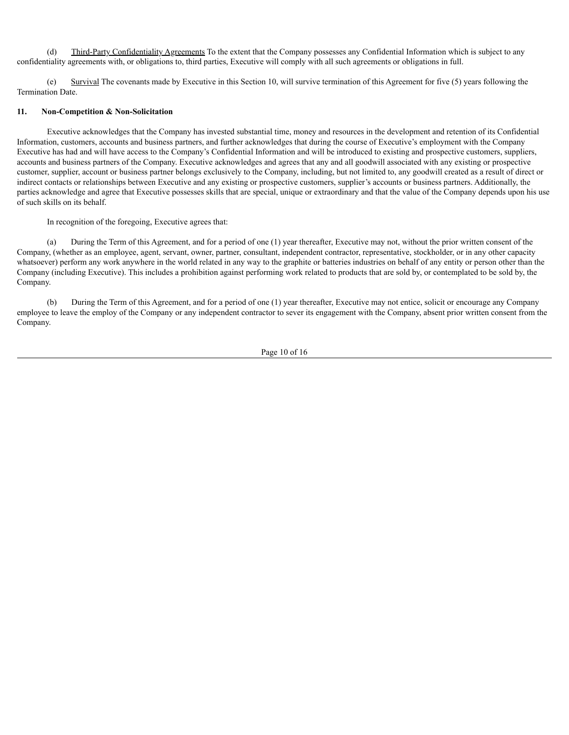(d) Third-Party Confidentiality Agreements To the extent that the Company possesses any Confidential Information which is subject to any confidentiality agreements with, or obligations to, third parties, Executive will comply with all such agreements or obligations in full.

(e) Survival The covenants made by Executive in this Section 10, will survive termination of this Agreement for five (5) years following the Termination Date.

#### **11. Non-Competition & Non-Solicitation**

Executive acknowledges that the Company has invested substantial time, money and resources in the development and retention of its Confidential Information, customers, accounts and business partners, and further acknowledges that during the course of Executive's employment with the Company Executive has had and will have access to the Company's Confidential Information and will be introduced to existing and prospective customers, suppliers, accounts and business partners of the Company. Executive acknowledges and agrees that any and all goodwill associated with any existing or prospective customer, supplier, account or business partner belongs exclusively to the Company, including, but not limited to, any goodwill created as a result of direct or indirect contacts or relationships between Executive and any existing or prospective customers, supplier's accounts or business partners. Additionally, the parties acknowledge and agree that Executive possesses skills that are special, unique or extraordinary and that the value of the Company depends upon his use of such skills on its behalf.

In recognition of the foregoing, Executive agrees that:

(a) During the Term of this Agreement, and for a period of one (1) year thereafter, Executive may not, without the prior written consent of the Company, (whether as an employee, agent, servant, owner, partner, consultant, independent contractor, representative, stockholder, or in any other capacity whatsoever) perform any work anywhere in the world related in any way to the graphite or batteries industries on behalf of any entity or person other than the Company (including Executive). This includes a prohibition against performing work related to products that are sold by, or contemplated to be sold by, the Company.

(b) During the Term of this Agreement, and for a period of one (1) year thereafter, Executive may not entice, solicit or encourage any Company employee to leave the employ of the Company or any independent contractor to sever its engagement with the Company, absent prior written consent from the Company.

Page 10 of 16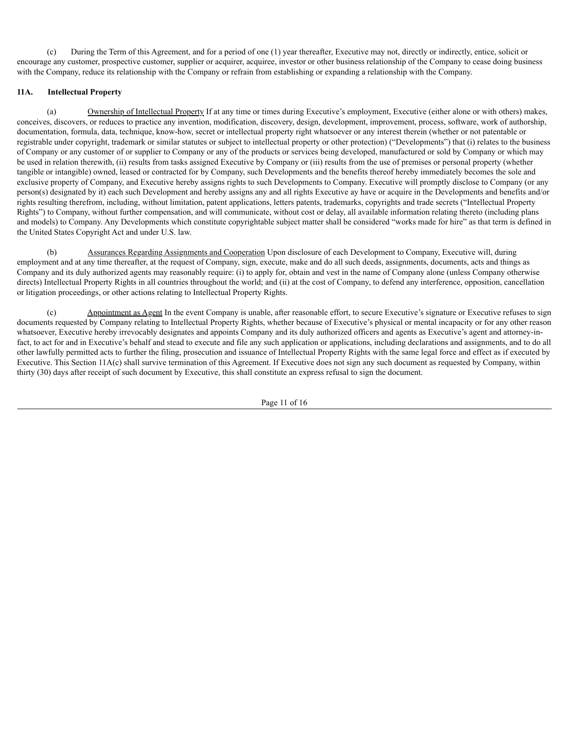(c) During the Term of this Agreement, and for a period of one (1) year thereafter, Executive may not, directly or indirectly, entice, solicit or encourage any customer, prospective customer, supplier or acquirer, acquiree, investor or other business relationship of the Company to cease doing business with the Company, reduce its relationship with the Company or refrain from establishing or expanding a relationship with the Company.

#### **11A. Intellectual Property**

(a) Ownership of Intellectual Property If at any time or times during Executive's employment, Executive (either alone or with others) makes, conceives, discovers, or reduces to practice any invention, modification, discovery, design, development, improvement, process, software, work of authorship, documentation, formula, data, technique, know-how, secret or intellectual property right whatsoever or any interest therein (whether or not patentable or registrable under copyright, trademark or similar statutes or subject to intellectual property or other protection) ("Developments") that (i) relates to the business of Company or any customer of or supplier to Company or any of the products or services being developed, manufactured or sold by Company or which may be used in relation therewith, (ii) results from tasks assigned Executive by Company or (iii) results from the use of premises or personal property (whether tangible or intangible) owned, leased or contracted for by Company, such Developments and the benefits thereof hereby immediately becomes the sole and exclusive property of Company, and Executive hereby assigns rights to such Developments to Company. Executive will promptly disclose to Company (or any person(s) designated by it) each such Development and hereby assigns any and all rights Executive ay have or acquire in the Developments and benefits and/or rights resulting therefrom, including, without limitation, patent applications, letters patents, trademarks, copyrights and trade secrets ("Intellectual Property Rights") to Company, without further compensation, and will communicate, without cost or delay, all available information relating thereto (including plans and models) to Company. Any Developments which constitute copyrightable subject matter shall be considered "works made for hire" as that term is defined in the United States Copyright Act and under U.S. law.

(b) Assurances Regarding Assignments and Cooperation Upon disclosure of each Development to Company, Executive will, during employment and at any time thereafter, at the request of Company, sign, execute, make and do all such deeds, assignments, documents, acts and things as Company and its duly authorized agents may reasonably require: (i) to apply for, obtain and vest in the name of Company alone (unless Company otherwise directs) Intellectual Property Rights in all countries throughout the world; and (ii) at the cost of Company, to defend any interference, opposition, cancellation or litigation proceedings, or other actions relating to Intellectual Property Rights.

(c) Appointment as Agent In the event Company is unable, after reasonable effort, to secure Executive's signature or Executive refuses to sign documents requested by Company relating to Intellectual Property Rights, whether because of Executive's physical or mental incapacity or for any other reason whatsoever, Executive hereby irrevocably designates and appoints Company and its duly authorized officers and agents as Executive's agent and attorney-infact, to act for and in Executive's behalf and stead to execute and file any such application or applications, including declarations and assignments, and to do all other lawfully permitted acts to further the filing, prosecution and issuance of Intellectual Property Rights with the same legal force and effect as if executed by Executive. This Section 11A(c) shall survive termination of this Agreement. If Executive does not sign any such document as requested by Company, within thirty (30) days after receipt of such document by Executive, this shall constitute an express refusal to sign the document.

Page 11 of 16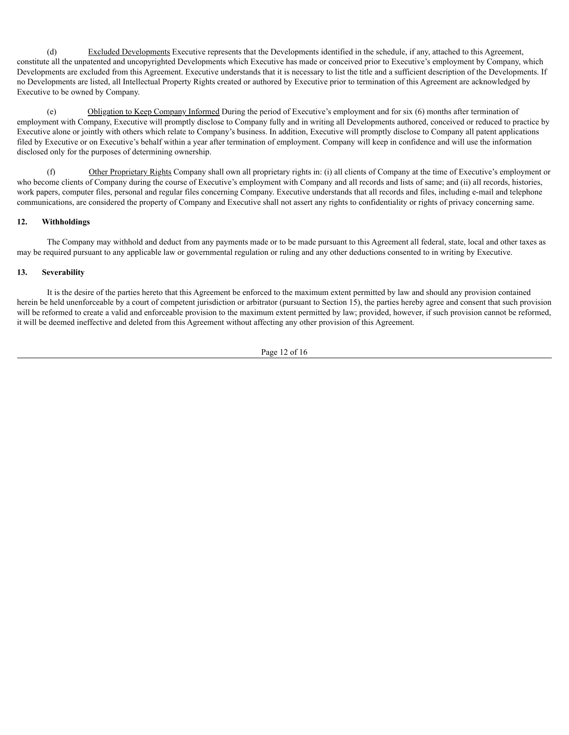(d) Excluded Developments Executive represents that the Developments identified in the schedule, if any, attached to this Agreement, constitute all the unpatented and uncopyrighted Developments which Executive has made or conceived prior to Executive's employment by Company, which Developments are excluded from this Agreement. Executive understands that it is necessary to list the title and a sufficient description of the Developments. If no Developments are listed, all Intellectual Property Rights created or authored by Executive prior to termination of this Agreement are acknowledged by Executive to be owned by Company.

(e) Obligation to Keep Company Informed During the period of Executive's employment and for six (6) months after termination of employment with Company, Executive will promptly disclose to Company fully and in writing all Developments authored, conceived or reduced to practice by Executive alone or jointly with others which relate to Company's business. In addition, Executive will promptly disclose to Company all patent applications filed by Executive or on Executive's behalf within a year after termination of employment. Company will keep in confidence and will use the information disclosed only for the purposes of determining ownership.

(f) Other Proprietary Rights Company shall own all proprietary rights in: (i) all clients of Company at the time of Executive's employment or who become clients of Company during the course of Executive's employment with Company and all records and lists of same; and (ii) all records, histories, work papers, computer files, personal and regular files concerning Company. Executive understands that all records and files, including e-mail and telephone communications, are considered the property of Company and Executive shall not assert any rights to confidentiality or rights of privacy concerning same.

#### **12. Withholdings**

The Company may withhold and deduct from any payments made or to be made pursuant to this Agreement all federal, state, local and other taxes as may be required pursuant to any applicable law or governmental regulation or ruling and any other deductions consented to in writing by Executive.

#### **13. Severability**

It is the desire of the parties hereto that this Agreement be enforced to the maximum extent permitted by law and should any provision contained herein be held unenforceable by a court of competent jurisdiction or arbitrator (pursuant to Section 15), the parties hereby agree and consent that such provision will be reformed to create a valid and enforceable provision to the maximum extent permitted by law; provided, however, if such provision cannot be reformed, it will be deemed ineffective and deleted from this Agreement without affecting any other provision of this Agreement.

Page 12 of 16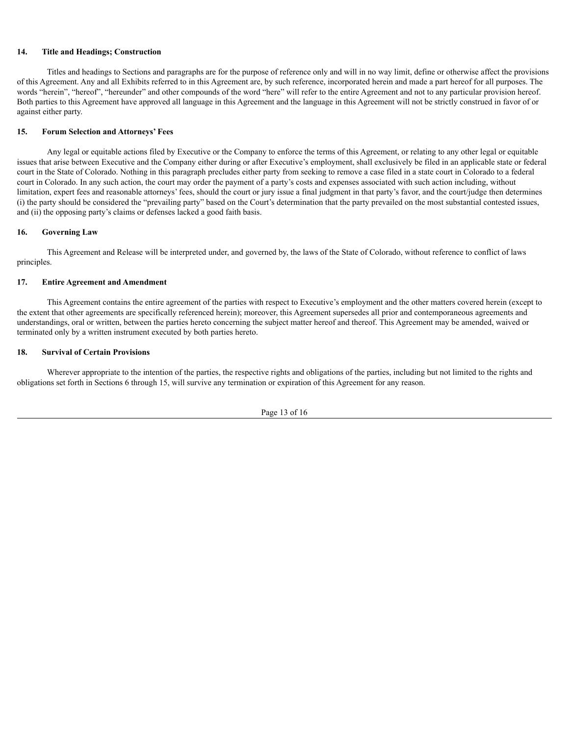#### **14. Title and Headings; Construction**

Titles and headings to Sections and paragraphs are for the purpose of reference only and will in no way limit, define or otherwise affect the provisions of this Agreement. Any and all Exhibits referred to in this Agreement are, by such reference, incorporated herein and made a part hereof for all purposes. The words "herein", "hereof", "hereunder" and other compounds of the word "here" will refer to the entire Agreement and not to any particular provision hereof. Both parties to this Agreement have approved all language in this Agreement and the language in this Agreement will not be strictly construed in favor of or against either party.

#### **15. Forum Selection and Attorneys' Fees**

Any legal or equitable actions filed by Executive or the Company to enforce the terms of this Agreement, or relating to any other legal or equitable issues that arise between Executive and the Company either during or after Executive's employment, shall exclusively be filed in an applicable state or federal court in the State of Colorado. Nothing in this paragraph precludes either party from seeking to remove a case filed in a state court in Colorado to a federal court in Colorado. In any such action, the court may order the payment of a party's costs and expenses associated with such action including, without limitation, expert fees and reasonable attorneys' fees, should the court or jury issue a final judgment in that party's favor, and the court/judge then determines (i) the party should be considered the "prevailing party" based on the Court's determination that the party prevailed on the most substantial contested issues, and (ii) the opposing party's claims or defenses lacked a good faith basis.

#### **16. Governing Law**

This Agreement and Release will be interpreted under, and governed by, the laws of the State of Colorado, without reference to conflict of laws principles.

#### **17. Entire Agreement and Amendment**

This Agreement contains the entire agreement of the parties with respect to Executive's employment and the other matters covered herein (except to the extent that other agreements are specifically referenced herein); moreover, this Agreement supersedes all prior and contemporaneous agreements and understandings, oral or written, between the parties hereto concerning the subject matter hereof and thereof. This Agreement may be amended, waived or terminated only by a written instrument executed by both parties hereto.

#### **18. Survival of Certain Provisions**

Wherever appropriate to the intention of the parties, the respective rights and obligations of the parties, including but not limited to the rights and obligations set forth in Sections 6 through 15, will survive any termination or expiration of this Agreement for any reason.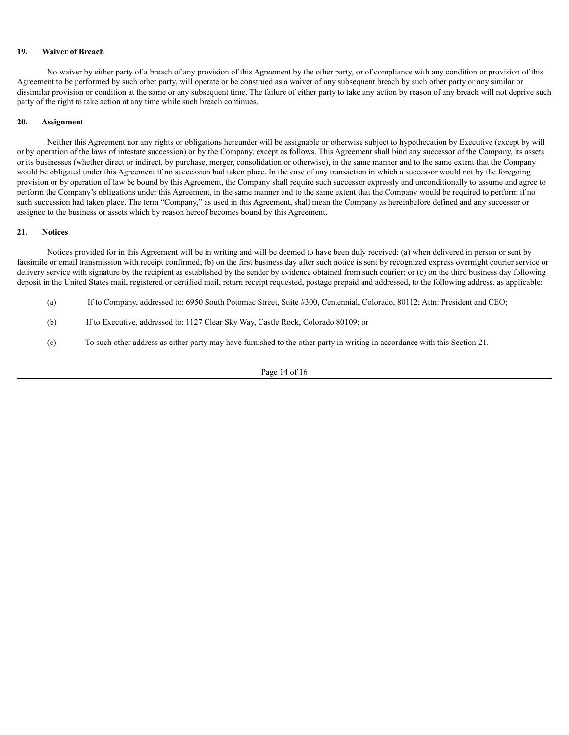#### **19. Waiver of Breach**

No waiver by either party of a breach of any provision of this Agreement by the other party, or of compliance with any condition or provision of this Agreement to be performed by such other party, will operate or be construed as a waiver of any subsequent breach by such other party or any similar or dissimilar provision or condition at the same or any subsequent time. The failure of either party to take any action by reason of any breach will not deprive such party of the right to take action at any time while such breach continues.

#### **20. Assignment**

Neither this Agreement nor any rights or obligations hereunder will be assignable or otherwise subject to hypothecation by Executive (except by will or by operation of the laws of intestate succession) or by the Company, except as follows. This Agreement shall bind any successor of the Company, its assets or its businesses (whether direct or indirect, by purchase, merger, consolidation or otherwise), in the same manner and to the same extent that the Company would be obligated under this Agreement if no succession had taken place. In the case of any transaction in which a successor would not by the foregoing provision or by operation of law be bound by this Agreement, the Company shall require such successor expressly and unconditionally to assume and agree to perform the Company's obligations under this Agreement, in the same manner and to the same extent that the Company would be required to perform if no such succession had taken place. The term "Company," as used in this Agreement, shall mean the Company as hereinbefore defined and any successor or assignee to the business or assets which by reason hereof becomes bound by this Agreement.

#### **21. Notices**

Notices provided for in this Agreement will be in writing and will be deemed to have been duly received: (a) when delivered in person or sent by facsimile or email transmission with receipt confirmed; (b) on the first business day after such notice is sent by recognized express overnight courier service or delivery service with signature by the recipient as established by the sender by evidence obtained from such courier; or (c) on the third business day following deposit in the United States mail, registered or certified mail, return receipt requested, postage prepaid and addressed, to the following address, as applicable:

- (a) If to Company, addressed to: 6950 South Potomac Street, Suite #300, Centennial, Colorado, 80112; Attn: President and CEO;
- (b) If to Executive, addressed to: 1127 Clear Sky Way, Castle Rock, Colorado 80109; or
- (c) To such other address as either party may have furnished to the other party in writing in accordance with this Section 21.

Page 14 of 16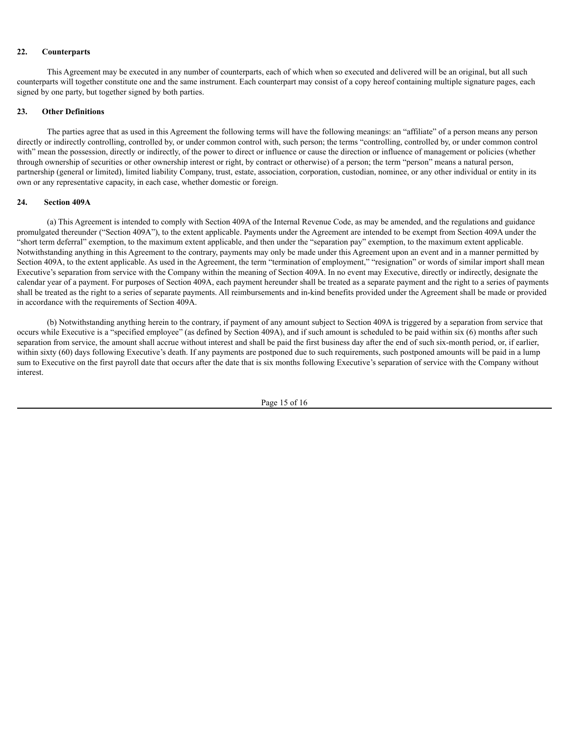#### **22. Counterparts**

This Agreement may be executed in any number of counterparts, each of which when so executed and delivered will be an original, but all such counterparts will together constitute one and the same instrument. Each counterpart may consist of a copy hereof containing multiple signature pages, each signed by one party, but together signed by both parties.

#### **23. Other Definitions**

The parties agree that as used in this Agreement the following terms will have the following meanings: an "affiliate" of a person means any person directly or indirectly controlling, controlled by, or under common control with, such person; the terms "controlling, controlled by, or under common control with" mean the possession, directly or indirectly, of the power to direct or influence or cause the direction or influence of management or policies (whether through ownership of securities or other ownership interest or right, by contract or otherwise) of a person; the term "person" means a natural person, partnership (general or limited), limited liability Company, trust, estate, association, corporation, custodian, nominee, or any other individual or entity in its own or any representative capacity, in each case, whether domestic or foreign.

#### **24. Section 409A**

(a) This Agreement is intended to comply with Section 409A of the Internal Revenue Code, as may be amended, and the regulations and guidance promulgated thereunder ("Section 409A"), to the extent applicable. Payments under the Agreement are intended to be exempt from Section 409A under the "short term deferral" exemption, to the maximum extent applicable, and then under the "separation pay" exemption, to the maximum extent applicable. Notwithstanding anything in this Agreement to the contrary, payments may only be made under this Agreement upon an event and in a manner permitted by Section 409A, to the extent applicable. As used in the Agreement, the term "termination of employment," "resignation" or words of similar import shall mean Executive's separation from service with the Company within the meaning of Section 409A. In no event may Executive, directly or indirectly, designate the calendar year of a payment. For purposes of Section 409A, each payment hereunder shall be treated as a separate payment and the right to a series of payments shall be treated as the right to a series of separate payments. All reimbursements and in-kind benefits provided under the Agreement shall be made or provided in accordance with the requirements of Section 409A.

(b) Notwithstanding anything herein to the contrary, if payment of any amount subject to Section 409A is triggered by a separation from service that occurs while Executive is a "specified employee" (as defined by Section 409A), and if such amount is scheduled to be paid within six (6) months after such separation from service, the amount shall accrue without interest and shall be paid the first business day after the end of such six-month period, or, if earlier, within sixty (60) days following Executive's death. If any payments are postponed due to such requirements, such postponed amounts will be paid in a lump sum to Executive on the first payroll date that occurs after the date that is six months following Executive's separation of service with the Company without interest.

Page 15 of 16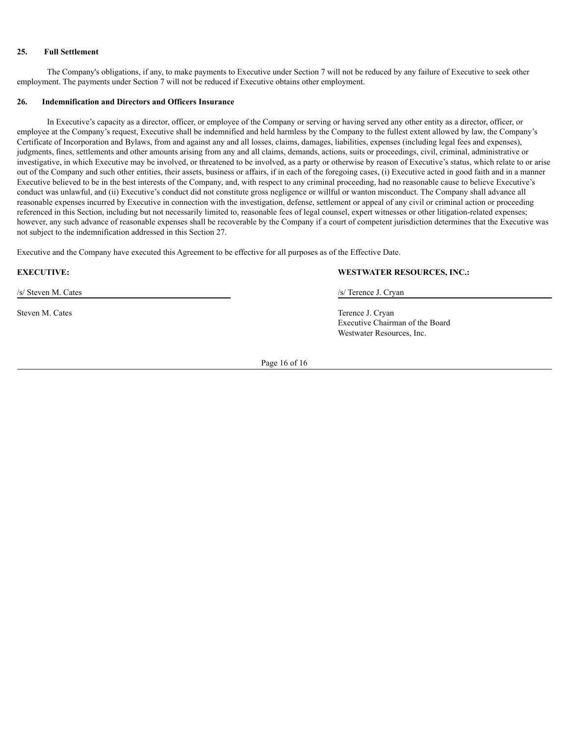#### **25. Full Settlement**

The Company's obligations, if any, to make payments to Executive under Section 7 will not be reduced by any failure of Executive to seek other employment. The payments under Section 7 will not be reduced if Executive obtains other employment.

#### **26. Indemnification and Directors and Officers Insurance**

In Executive's capacity as a director, officer, or employee of the Company or serving or having served any other entity as a director, officer, or employee at the Company's request, Executive shall be indemnified and held harmless by the Company to the fullest extent allowed by law, the Company's Certificate of Incorporation and Bylaws, from and against any and all losses, claims, damages, liabilities, expenses (including legal fees and expenses), judgments, fines, settlements and other amounts arising from any and all claims, demands, actions, suits or proceedings, civil, criminal, administrative or investigative, in which Executive may be involved, or threatened to be involved, as a party or otherwise by reason of Executive's status, which relate to or arise out of the Company and such other entities, their assets, business or affairs, if in each of the foregoing cases, (i) Executive acted in good faith and in a manner Executive believed to be in the best interests of the Company, and, with respect to any criminal proceeding, had no reasonable cause to believe Executive's conduct was unlawful, and (ii) Executive's conduct did not constitute gross negligence or willful or wanton misconduct. The Company shall advance all reasonable expenses incurred by Executive in connection with the investigation, defense, settlement or appeal of any civil or criminal action or proceeding referenced in this Section, including but not necessarily limited to, reasonable fees of legal counsel, expert witnesses or other litigation-related expenses; however, any such advance of reasonable expenses shall be recoverable by the Company if a court of competent jurisdiction determines that the Executive was not subject to the indemnification addressed in this Section 27.

Executive and the Company have executed this Agreement to be effective for all purposes as of the Effective Date.

/s/ Steven M. Cates /s/ Terence J. Cryan

#### **EXECUTIVE: WESTWATER RESOURCES, INC.:**

Steven M. Cates Terence J. Cryan Executive Chairman of the Board Westwater Resources, Inc.

Page 16 of 16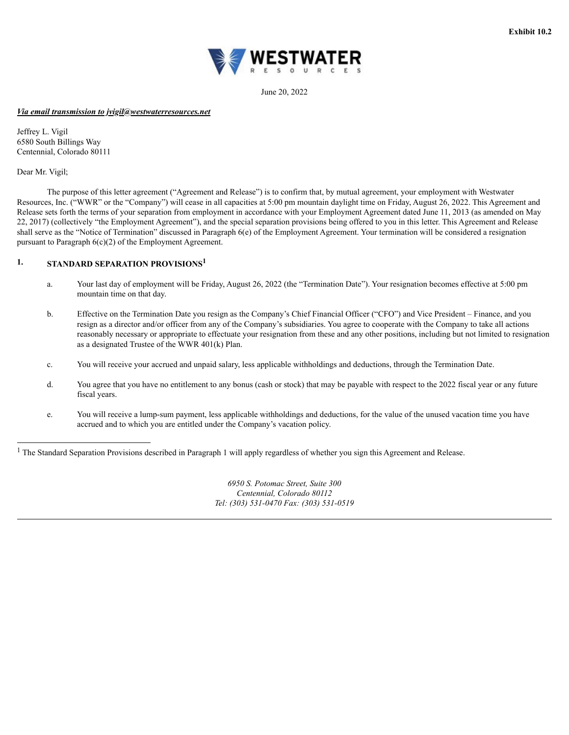

June 20, 2022

#### <span id="page-21-0"></span>*Via email transmission to jvigil@westwaterresources.net*

Jeffrey L. Vigil 6580 South Billings Way Centennial, Colorado 80111

Dear Mr. Vigil;

The purpose of this letter agreement ("Agreement and Release") is to confirm that, by mutual agreement, your employment with Westwater Resources, Inc. ("WWR" or the "Company") will cease in all capacities at 5:00 pm mountain daylight time on Friday, August 26, 2022. This Agreement and Release sets forth the terms of your separation from employment in accordance with your Employment Agreement dated June 11, 2013 (as amended on May 22, 2017) (collectively "the Employment Agreement"), and the special separation provisions being offered to you in this letter. This Agreement and Release shall serve as the "Notice of Termination" discussed in Paragraph 6(e) of the Employment Agreement. Your termination will be considered a resignation pursuant to Paragraph 6(c)(2) of the Employment Agreement.

#### **1. STANDARD SEPARATION PROVISIONS 1**

- a. Your last day of employment will be Friday, August 26, 2022 (the "Termination Date"). Your resignation becomes effective at 5:00 pm mountain time on that day.
- b. Effective on the Termination Date you resign as the Company's Chief Financial Officer ("CFO") and Vice President Finance, and you resign as a director and/or officer from any of the Company's subsidiaries. You agree to cooperate with the Company to take all actions reasonably necessary or appropriate to effectuate your resignation from these and any other positions, including but not limited to resignation as a designated Trustee of the WWR 401(k) Plan.
- c. You will receive your accrued and unpaid salary, less applicable withholdings and deductions, through the Termination Date.
- d. You agree that you have no entitlement to any bonus (cash or stock) that may be payable with respect to the 2022 fiscal year or any future fiscal years.
- e. You will receive a lump-sum payment, less applicable withholdings and deductions, for the value of the unused vacation time you have accrued and to which you are entitled under the Company's vacation policy.

<sup>1</sup> The Standard Separation Provisions described in Paragraph 1 will apply regardless of whether you sign this Agreement and Release.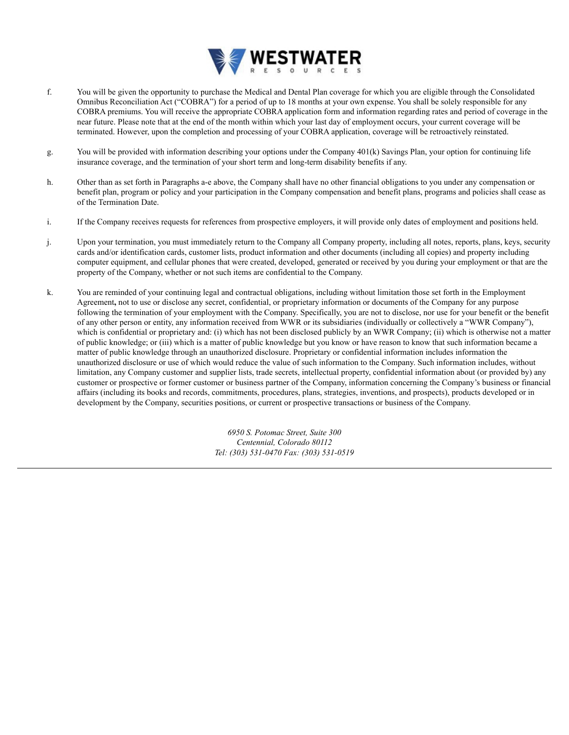

- f. You will be given the opportunity to purchase the Medical and Dental Plan coverage for which you are eligible through the Consolidated Omnibus Reconciliation Act ("COBRA") for a period of up to 18 months at your own expense. You shall be solely responsible for any COBRA premiums. You will receive the appropriate COBRA application form and information regarding rates and period of coverage in the near future. Please note that at the end of the month within which your last day of employment occurs, your current coverage will be terminated. However, upon the completion and processing of your COBRA application, coverage will be retroactively reinstated.
- g. You will be provided with information describing your options under the Company 401(k) Savings Plan, your option for continuing life insurance coverage, and the termination of your short term and long-term disability benefits if any.
- h. Other than as set forth in Paragraphs a-e above, the Company shall have no other financial obligations to you under any compensation or benefit plan, program or policy and your participation in the Company compensation and benefit plans, programs and policies shall cease as of the Termination Date.
- i. If the Company receives requests for references from prospective employers, it will provide only dates of employment and positions held.
- j. Upon your termination, you must immediately return to the Company all Company property, including all notes, reports, plans, keys, security cards and/or identification cards, customer lists, product information and other documents (including all copies) and property including computer equipment, and cellular phones that were created, developed, generated or received by you during your employment or that are the property of the Company, whether or not such items are confidential to the Company.
- k. You are reminded of your continuing legal and contractual obligations, including without limitation those set forth in the Employment Agreement**,** not to use or disclose any secret, confidential, or proprietary information or documents of the Company for any purpose following the termination of your employment with the Company. Specifically, you are not to disclose, nor use for your benefit or the benefit of any other person or entity, any information received from WWR or its subsidiaries (individually or collectively a "WWR Company"), which is confidential or proprietary and: (i) which has not been disclosed publicly by an WWR Company; (ii) which is otherwise not a matter of public knowledge; or (iii) which is a matter of public knowledge but you know or have reason to know that such information became a matter of public knowledge through an unauthorized disclosure. Proprietary or confidential information includes information the unauthorized disclosure or use of which would reduce the value of such information to the Company. Such information includes, without limitation, any Company customer and supplier lists, trade secrets, intellectual property, confidential information about (or provided by) any customer or prospective or former customer or business partner of the Company, information concerning the Company's business or financial affairs (including its books and records, commitments, procedures, plans, strategies, inventions, and prospects), products developed or in development by the Company, securities positions, or current or prospective transactions or business of the Company.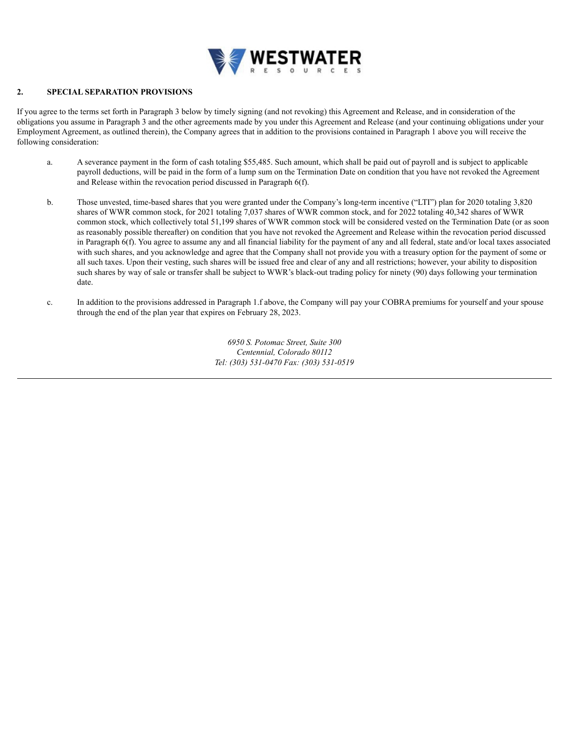

#### **2. SPECIAL SEPARATION PROVISIONS**

If you agree to the terms set forth in Paragraph 3 below by timely signing (and not revoking) this Agreement and Release, and in consideration of the obligations you assume in Paragraph 3 and the other agreements made by you under this Agreement and Release (and your continuing obligations under your Employment Agreement, as outlined therein), the Company agrees that in addition to the provisions contained in Paragraph 1 above you will receive the following consideration:

- a. A severance payment in the form of cash totaling \$55,485. Such amount, which shall be paid out of payroll and is subject to applicable payroll deductions, will be paid in the form of a lump sum on the Termination Date on condition that you have not revoked the Agreement and Release within the revocation period discussed in Paragraph 6(f).
- b. Those unvested, time-based shares that you were granted under the Company's long-term incentive ("LTI") plan for 2020 totaling 3,820 shares of WWR common stock, for 2021 totaling 7,037 shares of WWR common stock, and for 2022 totaling 40,342 shares of WWR common stock, which collectively total 51,199 shares of WWR common stock will be considered vested on the Termination Date (or as soon as reasonably possible thereafter) on condition that you have not revoked the Agreement and Release within the revocation period discussed in Paragraph 6(f). You agree to assume any and all financial liability for the payment of any and all federal, state and/or local taxes associated with such shares, and you acknowledge and agree that the Company shall not provide you with a treasury option for the payment of some or all such taxes. Upon their vesting, such shares will be issued free and clear of any and all restrictions; however, your ability to disposition such shares by way of sale or transfer shall be subject to WWR's black-out trading policy for ninety (90) days following your termination date.
- c. In addition to the provisions addressed in Paragraph 1.f above, the Company will pay your COBRA premiums for yourself and your spouse through the end of the plan year that expires on February 28, 2023.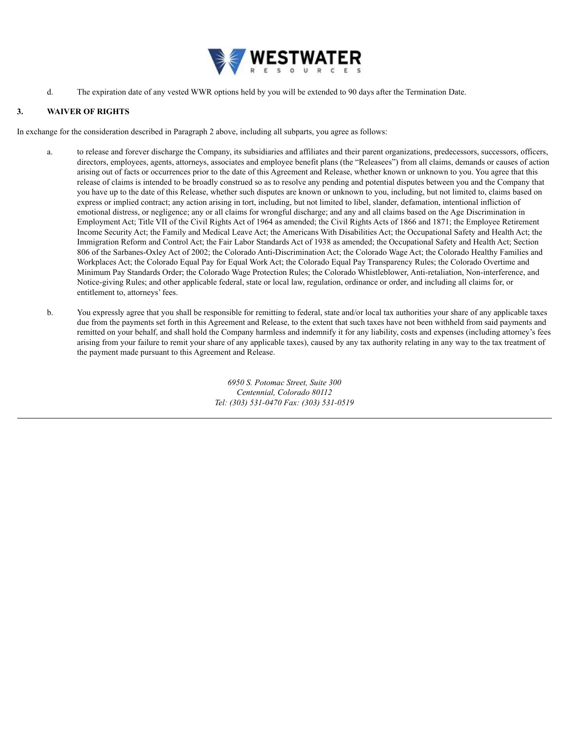

d. The expiration date of any vested WWR options held by you will be extended to 90 days after the Termination Date.

#### **3. WAIVER OF RIGHTS**

In exchange for the consideration described in Paragraph 2 above, including all subparts, you agree as follows:

- a. to release and forever discharge the Company, its subsidiaries and affiliates and their parent organizations, predecessors, successors, officers, directors, employees, agents, attorneys, associates and employee benefit plans (the "Releasees") from all claims, demands or causes of action arising out of facts or occurrences prior to the date of this Agreement and Release, whether known or unknown to you. You agree that this release of claims is intended to be broadly construed so as to resolve any pending and potential disputes between you and the Company that you have up to the date of this Release, whether such disputes are known or unknown to you, including, but not limited to, claims based on express or implied contract; any action arising in tort, including, but not limited to libel, slander, defamation, intentional infliction of emotional distress, or negligence; any or all claims for wrongful discharge; and any and all claims based on the Age Discrimination in Employment Act; Title VII of the Civil Rights Act of 1964 as amended; the Civil Rights Acts of 1866 and 1871; the Employee Retirement Income Security Act; the Family and Medical Leave Act; the Americans With Disabilities Act; the Occupational Safety and Health Act; the Immigration Reform and Control Act; the Fair Labor Standards Act of 1938 as amended; the Occupational Safety and Health Act; Section 806 of the Sarbanes-Oxley Act of 2002; the Colorado Anti-Discrimination Act; the Colorado Wage Act; the Colorado Healthy Families and Workplaces Act; the Colorado Equal Pay for Equal Work Act; the Colorado Equal Pay Transparency Rules; the Colorado Overtime and Minimum Pay Standards Order; the Colorado Wage Protection Rules; the Colorado Whistleblower, Anti-retaliation, Non-interference, and Notice-giving Rules; and other applicable federal, state or local law, regulation, ordinance or order, and including all claims for, or entitlement to, attorneys' fees.
- b. You expressly agree that you shall be responsible for remitting to federal, state and/or local tax authorities your share of any applicable taxes due from the payments set forth in this Agreement and Release, to the extent that such taxes have not been withheld from said payments and remitted on your behalf, and shall hold the Company harmless and indemnify it for any liability, costs and expenses (including attorney's fees arising from your failure to remit your share of any applicable taxes), caused by any tax authority relating in any way to the tax treatment of the payment made pursuant to this Agreement and Release.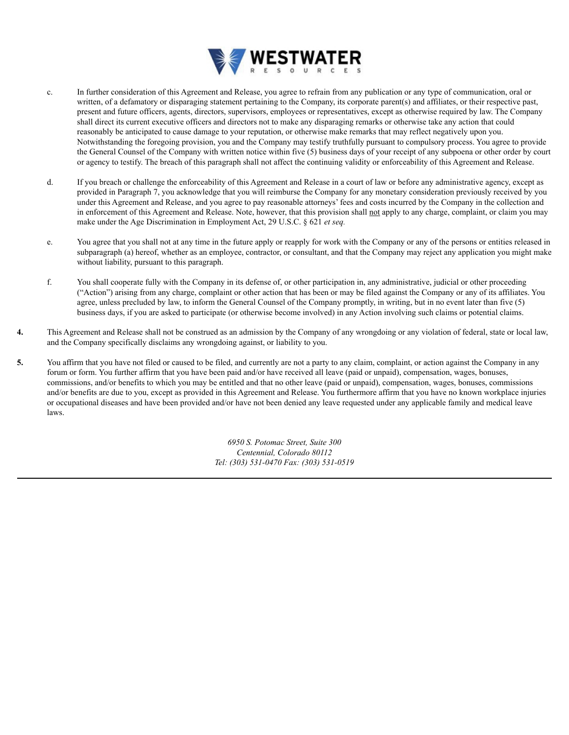

- c. In further consideration of this Agreement and Release, you agree to refrain from any publication or any type of communication, oral or written, of a defamatory or disparaging statement pertaining to the Company, its corporate parent(s) and affiliates, or their respective past, present and future officers, agents, directors, supervisors, employees or representatives, except as otherwise required by law. The Company shall direct its current executive officers and directors not to make any disparaging remarks or otherwise take any action that could reasonably be anticipated to cause damage to your reputation, or otherwise make remarks that may reflect negatively upon you. Notwithstanding the foregoing provision, you and the Company may testify truthfully pursuant to compulsory process. You agree to provide the General Counsel of the Company with written notice within five (5) business days of your receipt of any subpoena or other order by court or agency to testify. The breach of this paragraph shall not affect the continuing validity or enforceability of this Agreement and Release.
- d. If you breach or challenge the enforceability of this Agreement and Release in a court of law or before any administrative agency, except as provided in Paragraph 7, you acknowledge that you will reimburse the Company for any monetary consideration previously received by you under this Agreement and Release, and you agree to pay reasonable attorneys' fees and costs incurred by the Company in the collection and in enforcement of this Agreement and Release. Note, however, that this provision shall not apply to any charge, complaint, or claim you may make under the Age Discrimination in Employment Act, 29 U.S.C. § 621 *et seq.*
- e. You agree that you shall not at any time in the future apply or reapply for work with the Company or any of the persons or entities released in subparagraph (a) hereof, whether as an employee, contractor, or consultant, and that the Company may reject any application you might make without liability, pursuant to this paragraph.
- f. You shall cooperate fully with the Company in its defense of, or other participation in, any administrative, judicial or other proceeding ("Action") arising from any charge, complaint or other action that has been or may be filed against the Company or any of its affiliates. You agree, unless precluded by law, to inform the General Counsel of the Company promptly, in writing, but in no event later than five (5) business days, if you are asked to participate (or otherwise become involved) in any Action involving such claims or potential claims.
- **4.** This Agreement and Release shall not be construed as an admission by the Company of any wrongdoing or any violation of federal, state or local law, and the Company specifically disclaims any wrongdoing against, or liability to you.
- **5.** You affirm that you have not filed or caused to be filed, and currently are not a party to any claim, complaint, or action against the Company in any forum or form. You further affirm that you have been paid and/or have received all leave (paid or unpaid), compensation, wages, bonuses, commissions, and/or benefits to which you may be entitled and that no other leave (paid or unpaid), compensation, wages, bonuses, commissions and/or benefits are due to you, except as provided in this Agreement and Release. You furthermore affirm that you have no known workplace injuries or occupational diseases and have been provided and/or have not been denied any leave requested under any applicable family and medical leave laws.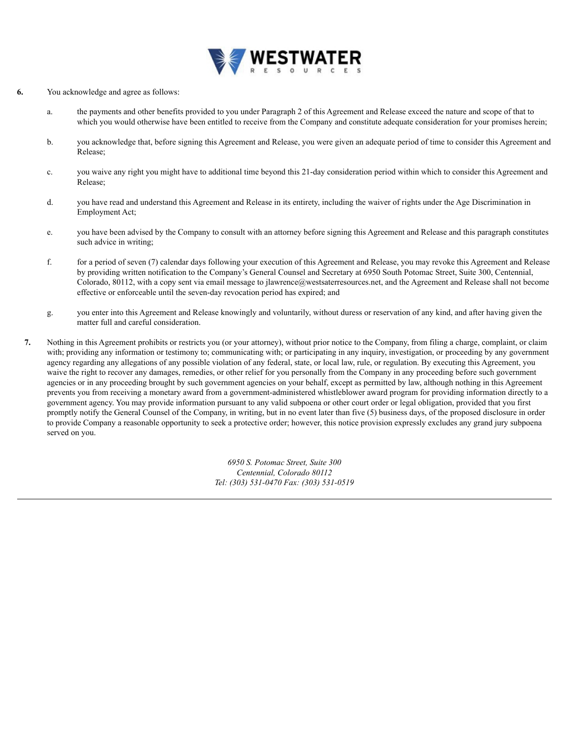

- **6.** You acknowledge and agree as follows:
	- a. the payments and other benefits provided to you under Paragraph 2 of this Agreement and Release exceed the nature and scope of that to which you would otherwise have been entitled to receive from the Company and constitute adequate consideration for your promises herein;
	- b. you acknowledge that, before signing this Agreement and Release, you were given an adequate period of time to consider this Agreement and Release;
	- c. you waive any right you might have to additional time beyond this 21-day consideration period within which to consider this Agreement and Release;
	- d. you have read and understand this Agreement and Release in its entirety, including the waiver of rights under the Age Discrimination in Employment Act;
	- e. you have been advised by the Company to consult with an attorney before signing this Agreement and Release and this paragraph constitutes such advice in writing;
	- f. for a period of seven (7) calendar days following your execution of this Agreement and Release, you may revoke this Agreement and Release by providing written notification to the Company's General Counsel and Secretary at 6950 South Potomac Street, Suite 300, Centennial, Colorado, 80112, with a copy sent via email message to jlawrence@westsaterresources.net, and the Agreement and Release shall not become effective or enforceable until the seven-day revocation period has expired; and
	- g. you enter into this Agreement and Release knowingly and voluntarily, without duress or reservation of any kind, and after having given the matter full and careful consideration.
	- **7.** Nothing in this Agreement prohibits or restricts you (or your attorney), without prior notice to the Company, from filing a charge, complaint, or claim with; providing any information or testimony to; communicating with; or participating in any inquiry, investigation, or proceeding by any government agency regarding any allegations of any possible violation of any federal, state, or local law, rule, or regulation. By executing this Agreement, you waive the right to recover any damages, remedies, or other relief for you personally from the Company in any proceeding before such government agencies or in any proceeding brought by such government agencies on your behalf, except as permitted by law, although nothing in this Agreement prevents you from receiving a monetary award from a government-administered whistleblower award program for providing information directly to a government agency. You may provide information pursuant to any valid subpoena or other court order or legal obligation, provided that you first promptly notify the General Counsel of the Company, in writing, but in no event later than five (5) business days, of the proposed disclosure in order to provide Company a reasonable opportunity to seek a protective order; however, this notice provision expressly excludes any grand jury subpoena served on you.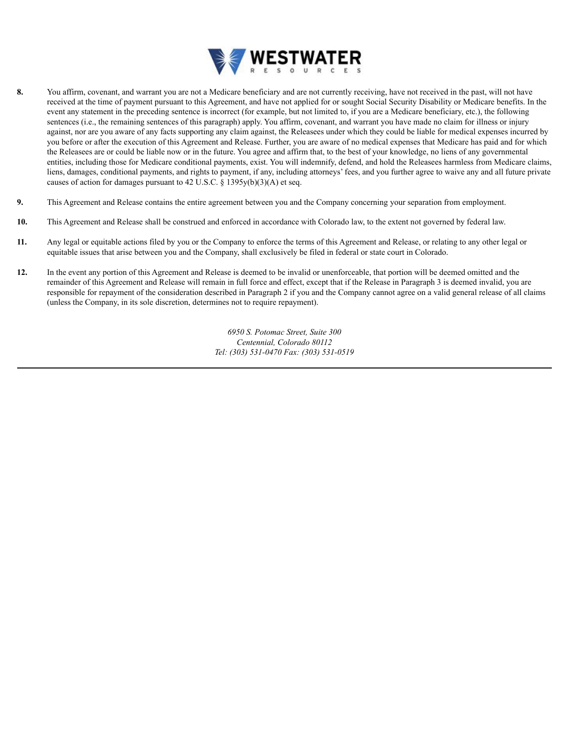

- **8.** You affirm, covenant, and warrant you are not a Medicare beneficiary and are not currently receiving, have not received in the past, will not have received at the time of payment pursuant to this Agreement, and have not applied for or sought Social Security Disability or Medicare benefits. In the event any statement in the preceding sentence is incorrect (for example, but not limited to, if you are a Medicare beneficiary, etc.), the following sentences (i.e., the remaining sentences of this paragraph) apply. You affirm, covenant, and warrant you have made no claim for illness or injury against, nor are you aware of any facts supporting any claim against, the Releasees under which they could be liable for medical expenses incurred by you before or after the execution of this Agreement and Release. Further, you are aware of no medical expenses that Medicare has paid and for which the Releasees are or could be liable now or in the future. You agree and affirm that, to the best of your knowledge, no liens of any governmental entities, including those for Medicare conditional payments, exist. You will indemnify, defend, and hold the Releasees harmless from Medicare claims, liens, damages, conditional payments, and rights to payment, if any, including attorneys' fees, and you further agree to waive any and all future private causes of action for damages pursuant to 42 U.S.C. § 1395y(b)(3)(A) et seq.
- **9.** This Agreement and Release contains the entire agreement between you and the Company concerning your separation from employment.
- **10.** This Agreement and Release shall be construed and enforced in accordance with Colorado law, to the extent not governed by federal law.
- **11.** Any legal or equitable actions filed by you or the Company to enforce the terms of this Agreement and Release, or relating to any other legal or equitable issues that arise between you and the Company, shall exclusively be filed in federal or state court in Colorado.
- **12.** In the event any portion of this Agreement and Release is deemed to be invalid or unenforceable, that portion will be deemed omitted and the remainder of this Agreement and Release will remain in full force and effect, except that if the Release in Paragraph 3 is deemed invalid, you are responsible for repayment of the consideration described in Paragraph 2 if you and the Company cannot agree on a valid general release of all claims (unless the Company, in its sole discretion, determines not to require repayment).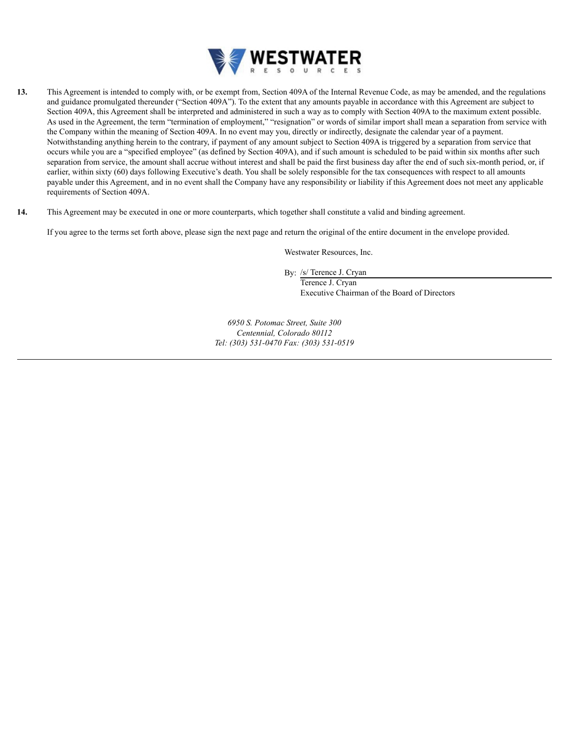

- **13.** This Agreement is intended to comply with, or be exempt from, Section 409A of the Internal Revenue Code, as may be amended, and the regulations and guidance promulgated thereunder ("Section 409A"). To the extent that any amounts payable in accordance with this Agreement are subject to Section 409A, this Agreement shall be interpreted and administered in such a way as to comply with Section 409A to the maximum extent possible. As used in the Agreement, the term "termination of employment," "resignation" or words of similar import shall mean a separation from service with the Company within the meaning of Section 409A. In no event may you, directly or indirectly, designate the calendar year of a payment. Notwithstanding anything herein to the contrary, if payment of any amount subject to Section 409A is triggered by a separation from service that occurs while you are a "specified employee" (as defined by Section 409A), and if such amount is scheduled to be paid within six months after such separation from service, the amount shall accrue without interest and shall be paid the first business day after the end of such six-month period, or, if earlier, within sixty (60) days following Executive's death. You shall be solely responsible for the tax consequences with respect to all amounts payable under this Agreement, and in no event shall the Company have any responsibility or liability if this Agreement does not meet any applicable requirements of Section 409A.
- **14.** This Agreement may be executed in one or more counterparts, which together shall constitute a valid and binding agreement.

If you agree to the terms set forth above, please sign the next page and return the original of the entire document in the envelope provided.

Westwater Resources, Inc.

By: /s/ Terence J. Cryan

Terence J. Cryan Executive Chairman of the Board of Directors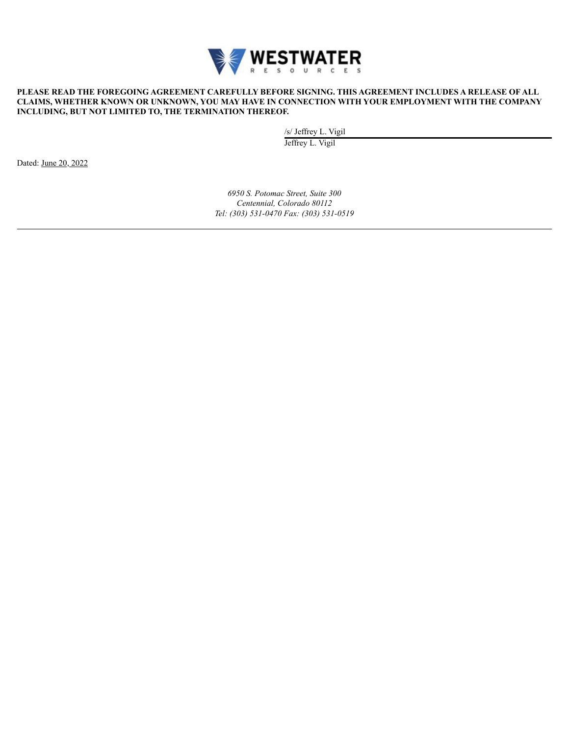

#### **PLEASE READ THE FOREGOING AGREEMENT CAREFULLY BEFORE SIGNING. THIS AGREEMENT INCLUDES A RELEASE OF ALL CLAIMS, WHETHER KNOWN OR UNKNOWN, YOU MAY HAVE IN CONNECTION WITH YOUR EMPLOYMENT WITH THE COMPANY INCLUDING, BUT NOT LIMITED TO, THE TERMINATION THEREOF.**

/s/ Jeffrey L. Vigil

Jeffrey L. Vigil

Dated: June 20, 2022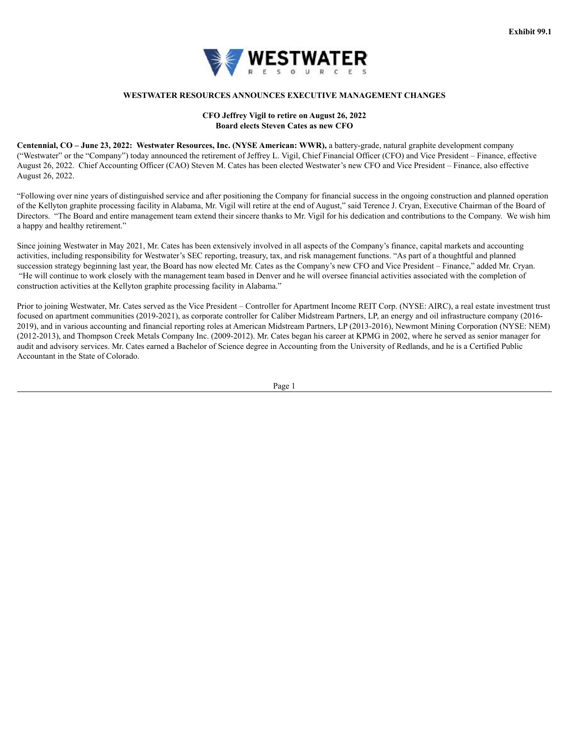

#### **WESTWATER RESOURCES ANNOUNCES EXECUTIVE MANAGEMENT CHANGES**

#### **CFO Jeffrey Vigil to retire on August 26, 2022 Board elects Steven Cates as new CFO**

<span id="page-30-0"></span>**Centennial, CO – June 23, 2022: Westwater Resources, Inc. (NYSE American: WWR),** a battery-grade, natural graphite development company ("Westwater" or the "Company") today announced the retirement of Jeffrey L. Vigil, Chief Financial Officer (CFO) and Vice President – Finance, effective August 26, 2022. Chief Accounting Officer (CAO) Steven M. Cates has been elected Westwater's new CFO and Vice President – Finance, also effective August 26, 2022.

"Following over nine years of distinguished service and after positioning the Company for financial success in the ongoing construction and planned operation of the Kellyton graphite processing facility in Alabama, Mr. Vigil will retire at the end of August," said Terence J. Cryan, Executive Chairman of the Board of Directors. "The Board and entire management team extend their sincere thanks to Mr. Vigil for his dedication and contributions to the Company. We wish him a happy and healthy retirement."

Since joining Westwater in May 2021, Mr. Cates has been extensively involved in all aspects of the Company's finance, capital markets and accounting activities, including responsibility for Westwater's SEC reporting, treasury, tax, and risk management functions. "As part of a thoughtful and planned succession strategy beginning last year, the Board has now elected Mr. Cates as the Company's new CFO and Vice President – Finance," added Mr. Cryan. "He will continue to work closely with the management team based in Denver and he will oversee financial activities associated with the completion of construction activities at the Kellyton graphite processing facility in Alabama."

Prior to joining Westwater, Mr. Cates served as the Vice President – Controller for Apartment Income REIT Corp. (NYSE: AIRC), a real estate investment trust focused on apartment communities (2019-2021), as corporate controller for Caliber Midstream Partners, LP, an energy and oil infrastructure company (2016- 2019), and in various accounting and financial reporting roles at American Midstream Partners, LP (2013-2016), Newmont Mining Corporation (NYSE: NEM) (2012-2013), and Thompson Creek Metals Company Inc. (2009-2012). Mr. Cates began his career at KPMG in 2002, where he served as senior manager for audit and advisory services. Mr. Cates earned a Bachelor of Science degree in Accounting from the University of Redlands, and he is a Certified Public Accountant in the State of Colorado.

Page 1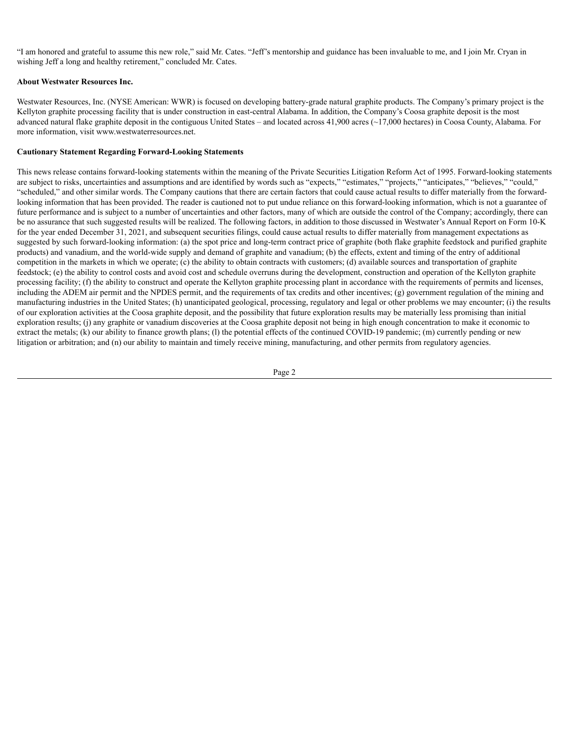"I am honored and grateful to assume this new role," said Mr. Cates. "Jeff's mentorship and guidance has been invaluable to me, and I join Mr. Cryan in wishing Jeff a long and healthy retirement," concluded Mr. Cates.

#### **About Westwater Resources Inc.**

Westwater Resources, Inc. (NYSE American: WWR) is focused on developing battery-grade natural graphite products. The Company's primary project is the Kellyton graphite processing facility that is under construction in east-central Alabama. In addition, the Company's Coosa graphite deposit is the most advanced natural flake graphite deposit in the contiguous United States – and located across 41,900 acres (~17,000 hectares) in Coosa County, Alabama. For more information, visit www.westwaterresources.net.

#### **Cautionary Statement Regarding Forward-Looking Statements**

This news release contains forward-looking statements within the meaning of the Private Securities Litigation Reform Act of 1995. Forward-looking statements are subject to risks, uncertainties and assumptions and are identified by words such as "expects," "estimates," "projects," "anticipates," "believes," "could," "scheduled," and other similar words. The Company cautions that there are certain factors that could cause actual results to differ materially from the forwardlooking information that has been provided. The reader is cautioned not to put undue reliance on this forward-looking information, which is not a guarantee of future performance and is subject to a number of uncertainties and other factors, many of which are outside the control of the Company; accordingly, there can be no assurance that such suggested results will be realized. The following factors, in addition to those discussed in Westwater's Annual Report on Form 10-K for the year ended December 31, 2021, and subsequent securities filings, could cause actual results to differ materially from management expectations as suggested by such forward-looking information: (a) the spot price and long-term contract price of graphite (both flake graphite feedstock and purified graphite products) and vanadium, and the world-wide supply and demand of graphite and vanadium; (b) the effects, extent and timing of the entry of additional competition in the markets in which we operate; (c) the ability to obtain contracts with customers; (d) available sources and transportation of graphite feedstock; (e) the ability to control costs and avoid cost and schedule overruns during the development, construction and operation of the Kellyton graphite processing facility; (f) the ability to construct and operate the Kellyton graphite processing plant in accordance with the requirements of permits and licenses, including the ADEM air permit and the NPDES permit, and the requirements of tax credits and other incentives; (g) government regulation of the mining and manufacturing industries in the United States; (h) unanticipated geological, processing, regulatory and legal or other problems we may encounter; (i) the results of our exploration activities at the Coosa graphite deposit, and the possibility that future exploration results may be materially less promising than initial exploration results; (j) any graphite or vanadium discoveries at the Coosa graphite deposit not being in high enough concentration to make it economic to extract the metals; (k) our ability to finance growth plans; (l) the potential effects of the continued COVID-19 pandemic; (m) currently pending or new litigation or arbitration; and (n) our ability to maintain and timely receive mining, manufacturing, and other permits from regulatory agencies.

Page 2